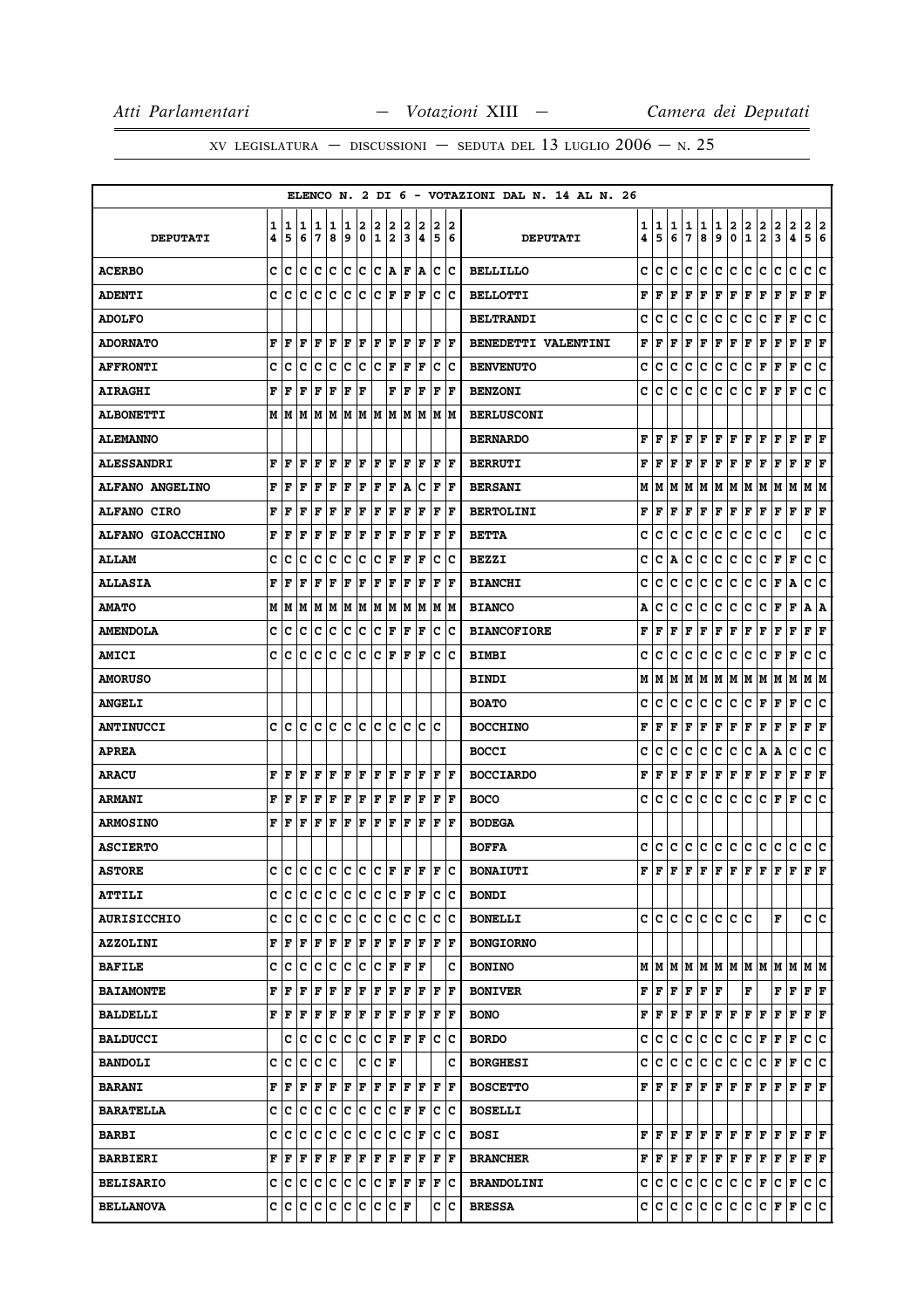|                          |        |                     |        |         |        |        |                  |                      |                      |        |          |             |        | ELENCO N. 2 DI 6 - VOTAZIONI DAL N. 14 AL N. 26 |        |                             |        |             |                                                                       |                                                                                                             |        |                      |                                                                                                                                                                                                                                                                                                                                                                                                                                 |                      |                     |                       |     |
|--------------------------|--------|---------------------|--------|---------|--------|--------|------------------|----------------------|----------------------|--------|----------|-------------|--------|-------------------------------------------------|--------|-----------------------------|--------|-------------|-----------------------------------------------------------------------|-------------------------------------------------------------------------------------------------------------|--------|----------------------|---------------------------------------------------------------------------------------------------------------------------------------------------------------------------------------------------------------------------------------------------------------------------------------------------------------------------------------------------------------------------------------------------------------------------------|----------------------|---------------------|-----------------------|-----|
| <b>DEPUTATI</b>          | 1<br>4 | 1<br>5              | 1<br>6 | 1<br>17 | 1<br>8 | 1<br>9 | 2<br>$\mathbf 0$ | 2<br>1               | 2<br>2               | 2<br>3 | 2<br>14. | 2<br>5      | 2<br>6 | <b>DEPUTATI</b>                                 | 1<br>4 | 1<br>5                      | 1<br>6 | 1<br>7      | 1<br>8                                                                | 1<br>9                                                                                                      | 2<br>0 | 2<br>$\mathbf{1}$    | $\frac{2}{2}$                                                                                                                                                                                                                                                                                                                                                                                                                   | 2<br>3               | $\overline{a}$<br>4 | 2<br>5 6              | 2   |
| <b>ACERBO</b>            | c      | ١c                  | ١c     | Ιc      | Ιc     | Ιc     | lc.              | lc                   | ١A                   | l F    | ١A       | c           | ١c     | <b>BELLILLO</b>                                 | c      | c                           | c      | с           | lc.                                                                   | c                                                                                                           | lc.    | c                    | c                                                                                                                                                                                                                                                                                                                                                                                                                               | c                    | c                   | c                     | lc. |
| <b>ADENTI</b>            | c      | ١c                  | ١c     | lc.     | lc     | lc.    | ١c               | lc.                  | lF.                  | F      | F        | lc.         | Iс     | <b>BELLOTTI</b>                                 | F      | F                           | F      | F           | F                                                                     | $\mathbf F$                                                                                                 | F      | F                    | F                                                                                                                                                                                                                                                                                                                                                                                                                               | F                    | F                   | F F                   |     |
| <b>ADOLFO</b>            |        |                     |        |         |        |        |                  |                      |                      |        |          |             |        | <b>BELTRANDI</b>                                | c      | с                           | c      | c           | с                                                                     | c                                                                                                           | c      | c                    | с                                                                                                                                                                                                                                                                                                                                                                                                                               | F                    | F                   | c                     | c   |
| <b>ADORNATO</b>          | F      | ١F                  | F      | F F     |        | F F    |                  | F F                  |                      | F      | F        | F           | ١F     | BENEDETTI VALENTINI                             | F      | F                           | F      | F           | F                                                                     | F                                                                                                           | F      | F                    | F                                                                                                                                                                                                                                                                                                                                                                                                                               | F                    | F                   | ${\bf F}$ ${\bf F}$   |     |
| <b>AFFRONTI</b>          | C      | Iс                  | c      | c       | c      | c      | c                | Ιc                   | F                    | ΙF     | ΙF       | c           | Ιc     | <b>BENVENUTO</b>                                | c      | c                           | c      | c           | с                                                                     | c                                                                                                           | c      | c                    | F                                                                                                                                                                                                                                                                                                                                                                                                                               | F                    | $\mathbf F$         | c                     | c   |
| <b>AIRAGHI</b>           | F      | lF                  | F      | F       | F      | F      | ΙF               |                      | F                    | ΙF     | F        | $\mathbf F$ | F      | <b>BENZONI</b>                                  | c      | c                           | c      | $\mathbf c$ | c                                                                     | c                                                                                                           | c      | c                    | F                                                                                                                                                                                                                                                                                                                                                                                                                               | F                    | F                   | c                     | lc  |
| <b>ALBONETTI</b>         |        |                     |        |         |        |        |                  |                      |                      |        |          |             |        | <b>BERLUSCONI</b>                               |        |                             |        |             |                                                                       |                                                                                                             |        |                      |                                                                                                                                                                                                                                                                                                                                                                                                                                 |                      |                     |                       |     |
| <b>ALEMANNO</b>          |        |                     |        |         |        |        |                  |                      |                      |        |          |             |        | <b>BERNARDO</b>                                 | F      | l F                         | F      | F           | F                                                                     | F                                                                                                           | F      | F                    | F                                                                                                                                                                                                                                                                                                                                                                                                                               | F                    | F                   | F                     | ΙF  |
| <b>ALESSANDRI</b>        | F      | l F                 | l F    | F       | ΙF     | F      | F                | F                    | ١F                   | F      | l F      | F           | ١F     | <b>BERRUTI</b>                                  | F      | l F                         | F      | F           | F                                                                     | F                                                                                                           | F      | F                    | F                                                                                                                                                                                                                                                                                                                                                                                                                               | F                    | F                   | F F                   |     |
| ALFANO ANGELINO          | F      | F                   | F      | F       | ΙF     | F      | F                | ΙF                   | F                    | A      | c        | F           | F      | <b>BERSANI</b>                                  | М      | M                           | М      | М           | lм                                                                    | M                                                                                                           | M      | M                    | M                                                                                                                                                                                                                                                                                                                                                                                                                               | M                    | M                   | M  M                  |     |
| <b>ALFANO CIRO</b>       | F      | l F                 | l F    | F       | F      | F      | F                | F                    | F                    | F      | F        | F           | lF.    | <b>BERTOLINI</b>                                | F      | F                           | F      | F           | F                                                                     | F                                                                                                           | F      | F                    | F                                                                                                                                                                                                                                                                                                                                                                                                                               | F                    | F                   | ${\bf F}$ ${\bf F}$   |     |
| <b>ALFANO GIOACCHINO</b> | F      | F                   | F      | F       | l F    | l F    | l F              | l F                  | F                    | l F    | ΙF       | F           | l F    | <b>BETTA</b>                                    | c      | c                           | c      | c           | с                                                                     | c                                                                                                           | с      | c                    | c                                                                                                                                                                                                                                                                                                                                                                                                                               | c                    |                     | c                     | c   |
| <b>ALLAM</b>             | C      | Iс                  | c      | Iс      | c      | c      | c                | c                    | F                    | l F    | F        | c           | Ιc     | <b>BEZZI</b>                                    | c      | c                           | Α      | c           | C                                                                     | c                                                                                                           | c      | c                    | c                                                                                                                                                                                                                                                                                                                                                                                                                               | F                    | F                   | C                     | c   |
| <b>ALLASIA</b>           | F      | F                   | l F    | F       | F      | F      | F                | F                    | F                    | lF.    | F        | l F         | l F    | <b>BIANCHI</b>                                  | c      | с                           | c      | c           | c                                                                     | $\mathbf{C}$                                                                                                | c      | c                    | c                                                                                                                                                                                                                                                                                                                                                                                                                               | F                    | A                   | c                     | lc. |
| <b>AMATO</b>             | М      | lМ                  | lм     | M       | M      | M      | M                |                      | M  M                 | M      | lМ       | М           | lМ     | <b>BIANCO</b>                                   | Α      | c                           | c      | c           | с                                                                     | C                                                                                                           | c      | с                    | c                                                                                                                                                                                                                                                                                                                                                                                                                               | F                    | $\mathbf F$         | А                     | A   |
| <b>AMENDOLA</b>          | c      | ١c                  | ١c     | c       | Iс     | lc.    | ∣c               |                      | $ {\bf C}  {\bf F} $ | lF.    | F        | с           | Iс     | <b>BIANCOFIORE</b>                              | F      | F                           | F      | F           | F                                                                     | F                                                                                                           | F      | F                    | F                                                                                                                                                                                                                                                                                                                                                                                                                               | F                    | F                   | F F                   |     |
| <b>AMICI</b>             | c      | Iс                  | c      | с       | c      | Ιc     | c                | c                    | F                    | F      | F        | с           | Ιc     | <b>BIMBI</b>                                    | c      | c                           | c      | c           | с                                                                     | c                                                                                                           | с      | с                    | c                                                                                                                                                                                                                                                                                                                                                                                                                               | F                    | F                   | с                     | c   |
| <b>AMORUSO</b>           |        |                     |        |         |        |        |                  |                      |                      |        |          |             |        | <b>BINDI</b>                                    | М      | M                           | M      | М           | M                                                                     | M                                                                                                           | M      | M                    | M                                                                                                                                                                                                                                                                                                                                                                                                                               | M                    | M                   | MM                    |     |
| <b>ANGELI</b>            |        |                     |        |         |        |        |                  |                      |                      |        |          |             |        | <b>BOATO</b>                                    | c      | c                           | c      | c           | с                                                                     | c                                                                                                           | с      | с                    | F                                                                                                                                                                                                                                                                                                                                                                                                                               | F                    | F                   | c                     | ∣c  |
| <b>ANTINUCCI</b>         | c      | ١c                  | lc.    | ١c      | Ιc     | Ιc     | ١c               | ١c                   | ١c                   | c      | Ιc       | c           |        | <b>BOCCHINO</b>                                 | F      | F                           | F      | F           | F                                                                     | $\mathbf F$                                                                                                 | F      | F                    | F                                                                                                                                                                                                                                                                                                                                                                                                                               | F                    | F                   | F                     | F   |
| <b>APREA</b>             |        |                     |        |         |        |        |                  |                      |                      |        |          |             |        | <b>BOCCI</b>                                    | c      | с                           | c      | c           | c                                                                     | c                                                                                                           | c      | c                    | Α                                                                                                                                                                                                                                                                                                                                                                                                                               | Α                    | c                   | с                     | c   |
| <b>ARACU</b>             | F      | F                   | F      | F       | l F    | F      | F                | F                    | F                    | F      | ΙF       | F           | lF.    | <b>BOCCIARDO</b>                                | F      | F                           | F      | F           | F                                                                     | $\mathbf F$                                                                                                 | F      | F                    | F                                                                                                                                                                                                                                                                                                                                                                                                                               | F                    | $\mathbf F$         | F                     | F   |
| <b>ARMANI</b>            | F      | F                   | F      | F       | F      | F      | F                | F                    | F                    | F      | F        | F           | ١F     | <b>BOCO</b>                                     | c      | c                           | c      | c           | lc.                                                                   | c                                                                                                           | lc.    | c                    | c                                                                                                                                                                                                                                                                                                                                                                                                                               | F                    | F                   | c c                   |     |
| <b>ARMOSINO</b>          | F      | l F                 | F      | F       | F      | F      | F                | F                    | F                    | ΙF     | ΙF       | F           | F      | <b>BODEGA</b>                                   |        |                             |        |             |                                                                       |                                                                                                             |        |                      |                                                                                                                                                                                                                                                                                                                                                                                                                                 |                      |                     |                       |     |
| <b>ASCIERTO</b>          |        |                     |        |         |        |        |                  |                      |                      |        |          |             |        | <b>BOFFA</b>                                    | c      | lc.                         | c      | c           | c                                                                     | c.                                                                                                          | c      | c.                   | c                                                                                                                                                                                                                                                                                                                                                                                                                               | c                    | c                   | c c                   |     |
| <b>ASTORE</b>            |        |                     |        |         |        |        |                  |                      |                      |        |          |             |        | $c c c c c c c c F F F c $ BONAIUTI             |        |                             |        |             |                                                                       |                                                                                                             |        |                      | $\mathbf{F}\, \,\mathbf{F}\, \,\mathbf{F}\, \,\mathbf{F}\, \,\mathbf{F}\, \,\mathbf{F}\, \,\mathbf{F}\, \,\mathbf{F}\, \,\mathbf{F}\, \,\mathbf{F}\, \,\mathbf{F}\, \,\mathbf{F}\, \,\mathbf{F}\, \,\mathbf{F}\, \,\mathbf{F}\, \,\mathbf{F}\, \,\mathbf{F}\, \,\mathbf{F}\, \,\mathbf{F}\, \,\mathbf{F}\, \,\mathbf{F}\, \,\mathbf{F}\, \,\mathbf{F}\, \,\mathbf{F}\, \,\mathbf{F}\, \,\mathbf{F}\, \,\mathbf{F}\, \,\mathbf{$ |                      |                     | $ {\bf F} $ ${\bf F}$ |     |
| <b>ATTILI</b>            |        | c Ic                | Iс     | IC IC   |        | c c    |                  |                      | c c                  | lF.    | F        | c           | ΙC     | <b>BONDI</b>                                    |        |                             |        |             |                                                                       |                                                                                                             |        |                      |                                                                                                                                                                                                                                                                                                                                                                                                                                 |                      |                     |                       |     |
| <b>AURISICCHIO</b>       |        | c  c  c  c  c  c  c |        |         |        |        |                  | c c                  |                      |        | c c      |             | ∣c ∣c  | <b>BONELLI</b>                                  |        |                             |        |             |                                                                       | c c c c c c c c c                                                                                           |        |                      |                                                                                                                                                                                                                                                                                                                                                                                                                                 | F                    |                     | c c                   |     |
| <b>AZZOLINI</b>          |        | F F                 | F      | F       | F      | F      | F                | F                    | F                    | F      | F        | F           | ١F     | <b>BONGIORNO</b>                                |        |                             |        |             |                                                                       |                                                                                                             |        |                      |                                                                                                                                                                                                                                                                                                                                                                                                                                 |                      |                     |                       |     |
| <b>BAFILE</b>            | c      | c c                 |        | c       | ∣c     | c      | Iс               |                      | $ C $ $\mathbf{F}$   | F      | lF       |             | c      | <b>BONINO</b>                                   |        |                             |        |             |                                                                       |                                                                                                             |        |                      | $M$   $M$   $M$   $M$   $M$   $M$   $M$   $M$   $M$   $M$   $M$   $M$                                                                                                                                                                                                                                                                                                                                                           |                      |                     |                       |     |
| <b>BAIAMONTE</b>         | F      | l F                 | F      | F       | F      | F      | F                | F                    | F                    | lF.    | F        | l F         | lF.    | <b>BONIVER</b>                                  |        |                             |        |             | ${\bf F}\, \,{\bf F}\, \,{\bf F}\, \,{\bf F}\, \,{\bf F}\, \,{\bf F}$ |                                                                                                             |        | F                    |                                                                                                                                                                                                                                                                                                                                                                                                                                 | F                    | F                   | F F                   |     |
| <b>BALDELLI</b>          |        | F  F                | ΙF     | F       | F      | F      | F                | F                    | F                    | F      | F        | $\mathbf F$ | ŀF     | <b>BONO</b>                                     | F      | F F                         |        |             | F F                                                                   | $ {\bf F}  {\bf F} $                                                                                        |        | F F                  |                                                                                                                                                                                                                                                                                                                                                                                                                                 | F                    | F                   | $\bf{F}$ $\bf{F}$     |     |
| <b>BALDUCCI</b>          |        | c                   | ∣c     | c c     |        | c c    |                  | lc.                  | F                    | lF.    | ١F       | lc.         | Ιc     | <b>BORDO</b>                                    | c      | lc.                         | c      | c           | c.                                                                    | c.                                                                                                          | c      | c.                   | F                                                                                                                                                                                                                                                                                                                                                                                                                               | $ {\bf F}  {\bf F} $ |                     | c c                   |     |
| <b>BANDOLI</b>           |        | c  c                | ١c     | Ιc      | Iс     |        | c                | $ {\bf C}  {\bf F} $ |                      |        |          |             | c      | <b>BORGHESI</b>                                 | c      | lc.                         | c      | c           | lc.                                                                   | c.                                                                                                          | c.     | ∣c∙                  | с                                                                                                                                                                                                                                                                                                                                                                                                                               | F                    | F                   | c c                   |     |
| <b>BARANI</b>            |        | F F                 | lF.    | lF.     | F F    |        | ΙF               | F                    | lF.                  | lF.    | l F      | F           | ١F     | <b>BOSCETTO</b>                                 |        |                             |        |             |                                                                       | ${\bf F}\, \,{\bf F}\, \,{\bf F}\, \,{\bf F}\, \,{\bf F}\, \,{\bf F}\, \,{\bf F}\, \,{\bf F}\, \,{\bf F}\,$ |        |                      |                                                                                                                                                                                                                                                                                                                                                                                                                                 | $F$ $F$              |                     | $\bf{F}$ $\bf{F}$     |     |
| <b>BARATELLA</b>         |        | c  c                | lc.    | ΙC      | Iс     | lc.    | IC.              | Ιc                   | Iс                   | F      | F        | с           | Iс     | <b>BOSELLI</b>                                  |        |                             |        |             |                                                                       |                                                                                                             |        |                      |                                                                                                                                                                                                                                                                                                                                                                                                                                 |                      |                     |                       |     |
| <b>BARBI</b>             |        | c c c               |        | c c     |        | c c    |                  | c c                  |                      | IC.    | F        | с           | ΙC     | <b>BOSI</b>                                     |        |                             |        |             |                                                                       |                                                                                                             |        |                      | ${\bf F}\, \,{\bf F}\, \,{\bf F}\, \,{\bf F}\, \,{\bf F}\, \,{\bf F}\, \,{\bf F}\, \,{\bf F}\, \,{\bf F}\, \,{\bf F}\, \,{\bf F}\, \,{\bf F}\, \,{\bf F}\, \,{\bf F}\,$                                                                                                                                                                                                                                                         |                      |                     |                       |     |
| <b>BARBIERI</b>          |        | F  F                | F      | F       | F      | F      | F                | F                    | F                    | F      | F        | F           | lF.    | <b>BRANCHER</b>                                 |        | ${\bf F}$ $\bf{F}$ $\bf{F}$ |        |             | F F                                                                   | F F                                                                                                         |        | F F                  |                                                                                                                                                                                                                                                                                                                                                                                                                                 | F F                  |                     | F F                   |     |
| <b>BELISARIO</b>         |        | c c c c c           |        |         |        | c c    |                  | c                    | F                    | lF.    | ١F       | $\mathbf F$ | Iс     | <b>BRANDOLINI</b>                               |        | c c c                       |        | ∣c∶         | c.                                                                    | c.                                                                                                          | c      | $ {\bf C}  {\bf F} $ |                                                                                                                                                                                                                                                                                                                                                                                                                                 | $ C $ F              |                     | c c                   |     |
| <b>BELLANOVA</b>         |        | C C C C C C C C F   |        |         |        |        |                  |                      |                      |        |          |             | c  c   | <b>BRESSA</b>                                   |        | c c c                       |        |             |                                                                       | c c c c                                                                                                     |        | c c                  |                                                                                                                                                                                                                                                                                                                                                                                                                                 | F F                  |                     | c c                   |     |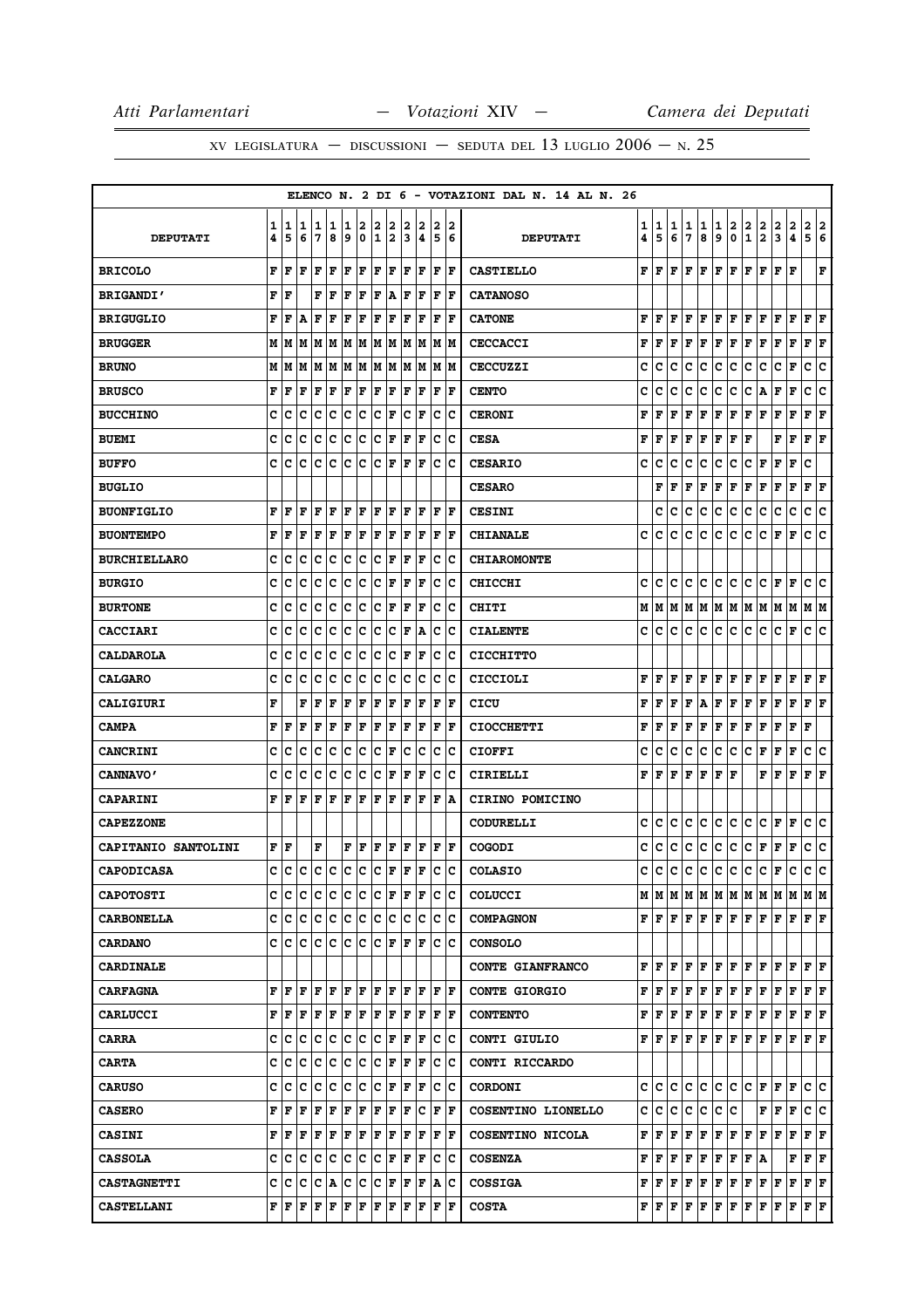|                     |        |        |        |        |        |        |        |                      |                              |        |        |             |                      | ELENCO N. 2 DI 6 - VOTAZIONI DAL N. 14 AL N. 26 |        |        |        |        |        |                            |                |                                         |                                                                                                                                                                                                                                                                                                                                                                                                                                                                                            |                      |        |                           |        |
|---------------------|--------|--------|--------|--------|--------|--------|--------|----------------------|------------------------------|--------|--------|-------------|----------------------|-------------------------------------------------|--------|--------|--------|--------|--------|----------------------------|----------------|-----------------------------------------|--------------------------------------------------------------------------------------------------------------------------------------------------------------------------------------------------------------------------------------------------------------------------------------------------------------------------------------------------------------------------------------------------------------------------------------------------------------------------------------------|----------------------|--------|---------------------------|--------|
| <b>DEPUTATI</b>     | 1<br>4 | 1<br>5 | 1<br>6 | 1<br>7 | 1<br>8 | 1<br>9 | 2<br>0 | 2<br>$\mathbf 1$     | 2<br>$\overline{\mathbf{2}}$ | 2<br>3 | 2<br>4 | 2<br>5      | 2<br>6               | <b>DEPUTATI</b>                                 | 1<br>4 | 1<br>5 | 1<br>6 | 1<br>7 | 1<br>8 | 1<br>9                     | 2<br>$\pmb{0}$ | $\overline{\mathbf{2}}$<br>$\mathbf{1}$ | 2<br>$\overline{2}$                                                                                                                                                                                                                                                                                                                                                                                                                                                                        | 2<br>3               | 2<br>4 | $\mathbf{2}$<br>5         | 2<br>6 |
| <b>BRICOLO</b>      | F      | F      | F      | F      | l F    | F      | l F    | F                    | F                            | F      | F      | F           | F                    | <b>CASTIELLO</b>                                | F      | lF.    | F      | l F    |        | F F F F                    |                |                                         | F F                                                                                                                                                                                                                                                                                                                                                                                                                                                                                        |                      | F      |                           | F      |
| <b>BRIGANDI'</b>    | F      | l F    |        | F      | F      | F      | F      | F                    | A                            | F      | F      | F           | lF.                  | <b>CATANOSO</b>                                 |        |        |        |        |        |                            |                |                                         |                                                                                                                                                                                                                                                                                                                                                                                                                                                                                            |                      |        |                           |        |
| <b>BRIGUGLIO</b>    | F      | F      | A      | F      | F      | F      | F      | F                    | F                            | F      | ΙF     | F           | l F                  | <b>CATONE</b>                                   | F      | l F    | F      | F      | F      | F                          | ΙF             | F                                       | F                                                                                                                                                                                                                                                                                                                                                                                                                                                                                          | F                    | F      | F                         | F      |
| <b>BRUGGER</b>      | M      | M      | M      | M      | M      | M      | M      | M  M                 |                              | M      | M      |             | M  M                 | <b>CECCACCI</b>                                 | F      | F      | F      | F      | F      | $\bf{F}$ $\bf{F}$ $\bf{F}$ |                |                                         | F                                                                                                                                                                                                                                                                                                                                                                                                                                                                                          | F                    | F      | $ {\bf F}  {\bf F} $      |        |
| <b>BRUNO</b>        | М      | M      | M      | M      | M      | M      | M      | M                    | M                            | M      | M      | M           | lМ                   | <b>CECCUZZI</b>                                 | c      | с      | c      | c      | c      | c                          | с              | c                                       | с                                                                                                                                                                                                                                                                                                                                                                                                                                                                                          | c                    | F      | с                         | c      |
| <b>BRUSCO</b>       | F      | F      | F      | F      | F      | F      | F      | F                    | F                            | F      | F      | F           | l F                  | <b>CENTO</b>                                    | c      | с      | c      | c      | с      | с                          | с              | с                                       | Α                                                                                                                                                                                                                                                                                                                                                                                                                                                                                          | F                    | F      | c                         | c      |
| <b>BUCCHINO</b>     | c      | с      | c      | c      | c      | c      | c      | c                    | F                            | c      | ΙF     | c           | c                    | <b>CERONI</b>                                   | F      | F      | F      | F      | F      | F                          | F              | F                                       | F                                                                                                                                                                                                                                                                                                                                                                                                                                                                                          | F                    | F      | F                         | F      |
| <b>BUEMI</b>        | C      | C      | c      | C      | C      | c      | c      | lc.                  | F                            | F      | F      | c           | Ιc                   | <b>CESA</b>                                     | F      | F      | F      | F      | F      | F                          | F              | F                                       |                                                                                                                                                                                                                                                                                                                                                                                                                                                                                            | F                    | F      | ${\bf F}$ $\bf F$         |        |
| <b>BUFFO</b>        | c      | c      | c      | Iс     | c      | c      | c      | c                    | F                            | l F    | F      | c           | Ιc                   | <b>CESARIO</b>                                  | c      | с      | c      | с      | c      | с                          | c              | с                                       | F                                                                                                                                                                                                                                                                                                                                                                                                                                                                                          | F                    | F      | c                         |        |
| <b>BUGLIO</b>       |        |        |        |        |        |        |        |                      |                              |        |        |             |                      | <b>CESARO</b>                                   |        | F      | F      | F      | F      | F                          | F              | F                                       | F                                                                                                                                                                                                                                                                                                                                                                                                                                                                                          | F                    | F      | F                         | F      |
| <b>BUONFIGLIO</b>   | F      | F      | F      | F      | l F    | F      | F      | l F                  | F                            | l F    | F      | F           | ١F                   | <b>CESINI</b>                                   |        | c      | с      | с      | с      | с                          | c              | с                                       | c                                                                                                                                                                                                                                                                                                                                                                                                                                                                                          | c                    | c      | c c                       |        |
| <b>BUONTEMPO</b>    | F      | F      | F      | F      | F      | F      | F      | F                    | F                            | F      | F      | F           | l F                  | <b>CHIANALE</b>                                 | c      | с      | c      | c      | c      | c                          | с              | с                                       | с                                                                                                                                                                                                                                                                                                                                                                                                                                                                                          | F                    | F      | c                         | c      |
| <b>BURCHIELLARO</b> | c      | c      | c      | с      | c      | c      | c      | c                    | F                            | F      | F      | c           | Ιc                   | <b>CHIAROMONTE</b>                              |        |        |        |        |        |                            |                |                                         |                                                                                                                                                                                                                                                                                                                                                                                                                                                                                            |                      |        |                           |        |
| <b>BURGIO</b>       | C      | c      | c      | c      | C      | c      | c      | c                    | F                            | F      | ΙF     | c           | Ιc                   | <b>CHICCHI</b>                                  | c      | с      | c      | c      | c      | с                          | lc.            | с                                       | c                                                                                                                                                                                                                                                                                                                                                                                                                                                                                          | $ {\bf F}  {\bf F} $ |        | c                         | Ιc     |
| <b>BURTONE</b>      | C      | c      | c      | c      | c      | c      | c      | c                    | F                            | F      | F      | c           | ١c                   | CHITI                                           | М      | M      | lМ     |        |        |                            |                |                                         | M  M  M  M  M  M  M  M                                                                                                                                                                                                                                                                                                                                                                                                                                                                     |                      |        | M M                       |        |
| <b>CACCIARI</b>     | c      | c      | c      | c      | c      | c      | c      | c                    | c                            | F      | ١A     | c           | Ιc                   | <b>CIALENTE</b>                                 | c      | c      | с      | c      | IC.    | с                          | lc.            | c                                       | с                                                                                                                                                                                                                                                                                                                                                                                                                                                                                          | C F                  |        | c c                       |        |
| <b>CALDAROLA</b>    | c      | c      | c      | c      | c      | c      | c      | c                    | с                            | F      | ΙF     | с           | Ιc                   | <b>CICCHITTO</b>                                |        |        |        |        |        |                            |                |                                         |                                                                                                                                                                                                                                                                                                                                                                                                                                                                                            |                      |        |                           |        |
| <b>CALGARO</b>      | c      | c      | c      | c      | c      | c      | c      | c                    | c                            | c      | Ιc     | c           | Ιc                   | <b>CICCIOLI</b>                                 | F      | F      | F      | F      | F      | F F                        |                | F                                       | F                                                                                                                                                                                                                                                                                                                                                                                                                                                                                          | F                    | F      | $\mathbf{F}   \mathbf{F}$ |        |
| CALIGIURI           | F      |        | F      | F      | F      | F      | F      | ΙF                   | F                            | F      | F      | F           | l F                  | CICU                                            | F      | F      | F      | F      | A      | F                          | F              | F                                       | F                                                                                                                                                                                                                                                                                                                                                                                                                                                                                          | F                    | F      | F                         | F      |
| <b>CAMPA</b>        | F      | F      | F      | F      | F      | F      | F      | F                    | F                            | F      | F      | $\mathbf F$ | F                    | <b>CIOCCHETTI</b>                               | F      | F      | F      | F      | F      | F F F                      |                |                                         | F                                                                                                                                                                                                                                                                                                                                                                                                                                                                                          | F                    | F      | F                         |        |
| <b>CANCRINI</b>     | C      | c      | C      | c      | c      | c      | c      | c                    | F                            | c      | c      | c           | Ιc                   | <b>CIOFFI</b>                                   | c      | с      | c      | c      | c      | c                          | c              | c                                       | F                                                                                                                                                                                                                                                                                                                                                                                                                                                                                          | F                    | F      | c                         | c      |
| <b>CANNAVO'</b>     | C      | c      | c      | c      | c      | c      | c      | c                    | F                            | F      | F      | c           | Ιc                   | CIRIELLI                                        | F      | F      | F      | F      | F      | ${\bf F}$ $\bf F$          |                |                                         | FF                                                                                                                                                                                                                                                                                                                                                                                                                                                                                         |                      | F      | F                         | F      |
| <b>CAPARINI</b>     | F      | F      | F      | F      | F      | F      | F      | F                    | F                            | F      | F      | F           | ۱A                   | CIRINO POMICINO                                 |        |        |        |        |        |                            |                |                                         |                                                                                                                                                                                                                                                                                                                                                                                                                                                                                            |                      |        |                           |        |
| <b>CAPEZZONE</b>    |        |        |        |        |        |        |        |                      |                              |        |        |             |                      | CODURELLI                                       | c      | с      | с      | c      | с      | с                          | IC.            | с                                       | C F                                                                                                                                                                                                                                                                                                                                                                                                                                                                                        |                      | F      | с                         | c      |
| CAPITANIO SANTOLINI | F      | ١F     |        | F      |        | F      | F      | F                    | F                            | F      | F      | F           | F                    | <b>COGODI</b>                                   | с      | с      | с      | с      | с      | с                          | c              | с                                       | Г                                                                                                                                                                                                                                                                                                                                                                                                                                                                                          | F                    | F      | c                         | ∣c     |
| <b>CAPODICASA</b>   | C      | с      | c      | c      | c      | c      | c      | c                    | F                            | ١F     | lF.    | lc.         | lc.                  | <b>COLASIO</b>                                  | c      | с      | c      | С      | c      | c                          | c              | c                                       | c                                                                                                                                                                                                                                                                                                                                                                                                                                                                                          | F                    | c      | c                         | c      |
| <b>CAPOTOSTI</b>    | c      | c      | c      | c      | c      | lc.    | c      | c                    | F                            |        | F F    | c           | Ιc                   | <b>COLUCCI</b>                                  |        |        |        |        |        |                            |                |                                         |                                                                                                                                                                                                                                                                                                                                                                                                                                                                                            |                      |        |                           |        |
| <b>CARBONELLA</b>   | c      | c      | lc.    | Iс     | c      | lc.    | c      | c                    | Iс                           | lc.    | Ιc     | lc.         | Iс                   | <b>COMPAGNON</b>                                |        |        |        |        |        |                            |                |                                         | ${\bf F}\, \, {\bf F}\, \, {\bf F}\, \, {\bf F}\, \, {\bf F}\, \, {\bf F}\, \, {\bf F}\, \, {\bf F}\, \, {\bf F}\, \, {\bf F}\, \, {\bf F}\, \, {\bf F}\, \, {\bf F}\, \,$                                                                                                                                                                                                                                                                                                                 |                      |        |                           |        |
| <b>CARDANO</b>      | C      | lc.    | ١c     | Iс     | Iс     | lc.    | lc.    | lc.                  | lF.                          | lF.    | ١F     | Iс          | ΙC                   | <b>CONSOLO</b>                                  |        |        |        |        |        |                            |                |                                         |                                                                                                                                                                                                                                                                                                                                                                                                                                                                                            |                      |        |                           |        |
| <b>CARDINALE</b>    |        |        |        |        |        |        |        |                      |                              |        |        |             |                      | CONTE GIANFRANCO                                |        |        |        |        |        |                            |                |                                         | ${\bf F}$ $\bf F$ $\bf F$ $\bf F$ $\bf F$ $\bf F$ $\bf F$ $\bf F$ $\bf F$ $\bf F$ $\bf F$ $\bf F$                                                                                                                                                                                                                                                                                                                                                                                          |                      |        |                           |        |
| <b>CARFAGNA</b>     | F      | F      | F      | F      | l F    | F      | l F    | l F                  | lF.                          | ΙF     | lF.    | l F         | ١F                   | <b>CONTE GIORGIO</b>                            | F      | lF.    | F      |        |        |                            |                |                                         | $\mathbf{F} \left  \mathbf{F} \right. \left  \mathbf{F} \right. \left  \mathbf{F} \right. \left  \mathbf{F} \right. \left  \mathbf{F} \right. \left  \mathbf{F} \right. \left  \mathbf{F} \right. \left  \mathbf{F} \right. \left  \mathbf{F} \right. \left  \mathbf{F} \right. \left  \mathbf{F} \right. \left  \mathbf{F} \right. \left  \mathbf{F} \right. \left  \mathbf{F} \right. \left  \mathbf{F} \right. \left  \mathbf{F} \right. \left  \mathbf{F} \right. \left  \mathbf{F} \$ |                      |        | FF                        |        |
| <b>CARLUCCI</b>     | F      | F      | F      | F      | ΙF     | F      | F      | F                    | F                            | lF.    | F      |             | $ {\bf F}  {\bf F} $ | <b>CONTENTO</b>                                 |        |        |        |        |        |                            |                |                                         | ${\bf F}$ $\bf [F]$ $\bf F$ $\bf [F]$ $\bf F$ $\bf [F]$ $\bf F$ $\bf [F]$ $\bf F$ $\bf [F]$                                                                                                                                                                                                                                                                                                                                                                                                |                      |        | F F                       |        |
| <b>CARRA</b>        | c      | c      | c      | с      | c      | lC.    | c      | lc.                  | F                            | lF.    | F      | c           | c                    | CONTI GIULIO                                    |        | F F.   | lF.    |        |        |                            |                |                                         | F   F   F   F   F   F   F                                                                                                                                                                                                                                                                                                                                                                                                                                                                  |                      |        | F F                       |        |
| <b>CARTA</b>        | C      | c      | c      | c      | c      | c      | c      | c                    | F                            | lF.    | F      | c           | Ιc                   | CONTI RICCARDO                                  |        |        |        |        |        |                            |                |                                         |                                                                                                                                                                                                                                                                                                                                                                                                                                                                                            |                      |        |                           |        |
| <b>CARUSO</b>       | c      | с      | c      | с      | Iс     | lC.    | Iс     | lc.                  | lF.                          | lF.    | ١F     | Iс          | Ιc                   | <b>CORDONI</b>                                  | c      | c      | c      | c      | c      |                            |                |                                         | C C C F F F                                                                                                                                                                                                                                                                                                                                                                                                                                                                                |                      |        | c lc                      |        |
| <b>CASERO</b>       | F      | F      | F      | F      | F      | F      | F      | F                    | F                            | F      | Iс     | F           | ١F                   | COSENTINO LIONELLO                              | c      | IC.    | c      | c      | lc.    | c c                        |                |                                         | FF                                                                                                                                                                                                                                                                                                                                                                                                                                                                                         |                      | ١F     | c c                       |        |
| <b>CASINI</b>       | F      | F      | F      | F      | ΙF     | F      | F      | F                    | F                            | F      | F      |             | F F                  | COSENTINO NICOLA                                |        |        |        |        |        |                            |                |                                         | ${\bf F}\, \,{\bf F}\, \,{\bf F}\, \,{\bf F}\, \,{\bf F}\, \,{\bf F}\, \,{\bf F}\, \,{\bf F}\, \,{\bf F}\, \,{\bf F}\, \,{\bf F}\, \,{\bf F}\,$                                                                                                                                                                                                                                                                                                                                            |                      |        | F F                       |        |
| <b>CASSOLA</b>      | c      | c      | c      | с      | Iс     | lc.    | lc.    | lc.                  | F                            | lF.    | F      | С           | ΙC                   | <b>COSENZA</b>                                  | F      | F      | F      |        |        | F F F F F A                |                |                                         |                                                                                                                                                                                                                                                                                                                                                                                                                                                                                            |                      | F      | F F                       |        |
| <b>CASTAGNETTI</b>  | c      |        | c c    | C A    |        | c c    |        | $ {\bf C}  {\bf F} $ |                              |        | F  F   |             | A   C                | <b>COSSIGA</b>                                  |        |        |        |        |        |                            |                |                                         | ${\bf F}$ $\bf [F]$ $\bf F$ $\bf [F]$ $\bf F$ $\bf [F]$ $\bf F$ $\bf [F]$ $\bf F$                                                                                                                                                                                                                                                                                                                                                                                                          |                      | F      | F F                       |        |
| <b>CASTELLANI</b>   | F      | F      | F      | F      | F      | F      | F      | F                    | F                            | F      | F      | F           | F                    | <b>COSTA</b>                                    |        |        |        |        |        |                            |                |                                         | ${\bf F}\, \,{\bf F}\, \,{\bf F}\, \,{\bf F}\, \,{\bf F}\, \,{\bf F}\, \,{\bf F}\, \,{\bf F}\, \,{\bf F}\, \,{\bf F}\, \,{\bf F}\, \,{\bf F}\, \,{\bf F}\, \,{\bf F}\, \,$                                                                                                                                                                                                                                                                                                                 |                      |        |                           |        |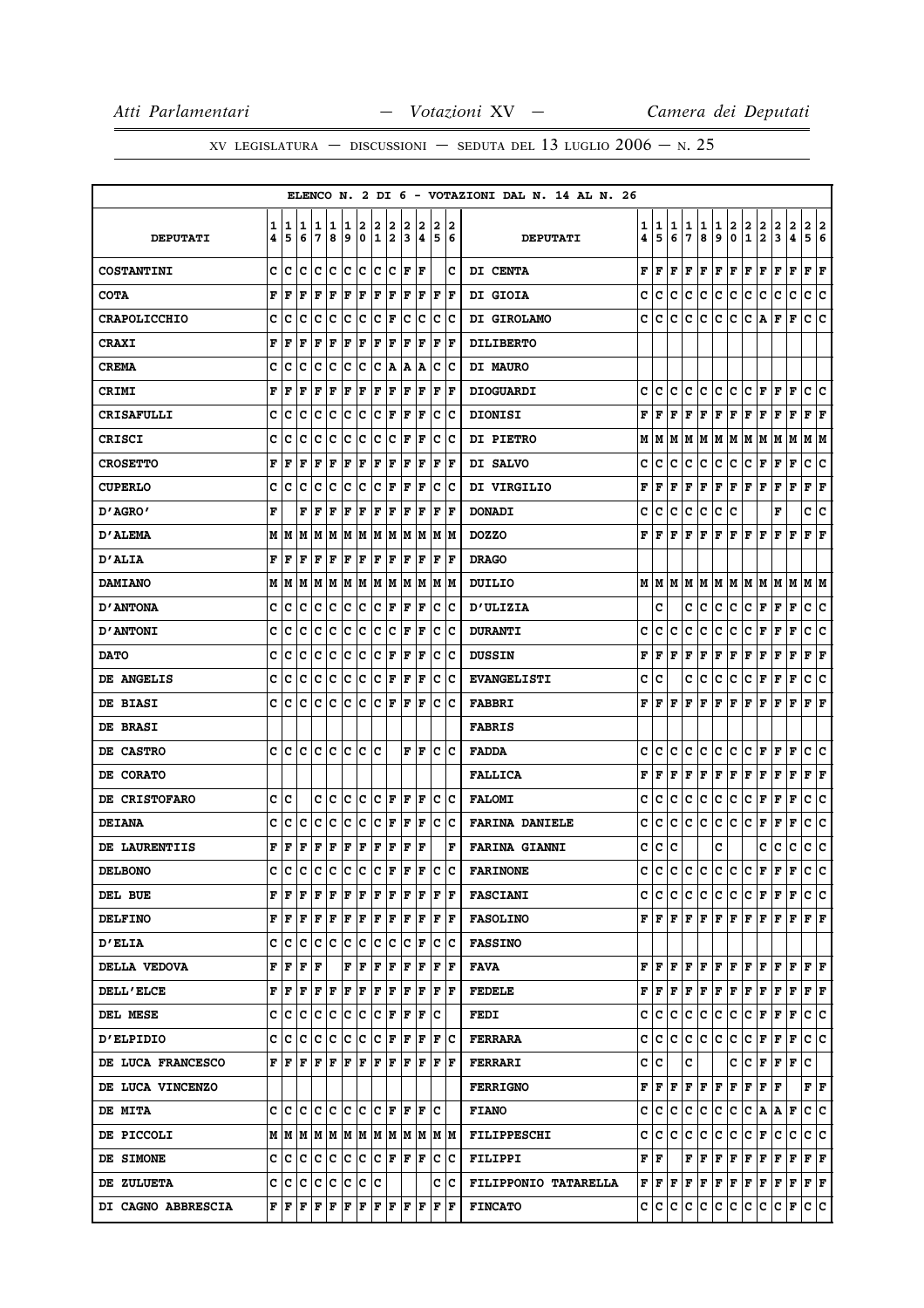|                     |   |      |     |       |     |     |     |             |                            |             |                                                                     |     |      | ELENCO N. 2 DI 6 - VOTAZIONI DAL N. 14 AL N. 26 |   |       |     |     |     |     |     |                |                           |     |                                                                                                                                                                                                                                                                                                                                                                                                           |                           |     |
|---------------------|---|------|-----|-------|-----|-----|-----|-------------|----------------------------|-------------|---------------------------------------------------------------------|-----|------|-------------------------------------------------|---|-------|-----|-----|-----|-----|-----|----------------|---------------------------|-----|-----------------------------------------------------------------------------------------------------------------------------------------------------------------------------------------------------------------------------------------------------------------------------------------------------------------------------------------------------------------------------------------------------------|---------------------------|-----|
|                     | 1 | 1    | 1   | 1     | 1   | 1   | 2   | 2           | 2                          | 2           | 2                                                                   | 2   | 2    |                                                 | 1 | 1     | 1   | 1   | 1   | 1   | 2   | 2              | 2                         | 2   | 2                                                                                                                                                                                                                                                                                                                                                                                                         | 2                         | 2   |
| <b>DEPUTATI</b>     | 4 | 5    | 6   | 7     | 8   | 9   | 0   | $\mathbf 1$ | 2                          | 3           | 4                                                                   | 5   | 6    | <b>DEPUTATI</b>                                 | 4 | 5     | 6   | 7   | 8   | 9   | 0   | $\mathbf 1$    | $\overline{\mathbf{2}}$   | 3   | 4                                                                                                                                                                                                                                                                                                                                                                                                         | 5                         | 6   |
| <b>COSTANTINI</b>   | C | c    | c   | c     | c   | c   | c   | c           | lc.                        | $\mathbf F$ | F                                                                   |     | c    | <b>DI CENTA</b>                                 | F | F     | F   | F   | F   | F   | F   | F              | F                         | F   | $\mathbf F$                                                                                                                                                                                                                                                                                                                                                                                               | F                         | F   |
| <b>COTA</b>         | F | F    | F   | F     | F   | F   | F   | F           | F                          | F           | F                                                                   | F   | l F  | DI GIOIA                                        | с | c     | с   | c   | с   | с   | c   | с              | с                         | с   | с                                                                                                                                                                                                                                                                                                                                                                                                         | c                         | c   |
| <b>CRAPOLICCHIO</b> | c | c    | c   | c     | c   | c   | c   | c           | F                          | c           | c                                                                   | c   | Ιc   | DI GIROLAMO                                     | c | c     | c   | c   | c   | c   | c   | c              | A                         | F   | F                                                                                                                                                                                                                                                                                                                                                                                                         | c                         | c   |
| <b>CRAXI</b>        | F | F    | F   | F     | F   | F   | F   | F           | F                          | F           | F                                                                   | F   | F    | <b>DILIBERTO</b>                                |   |       |     |     |     |     |     |                |                           |     |                                                                                                                                                                                                                                                                                                                                                                                                           |                           |     |
| <b>CREMA</b>        | c | c    | c   | c     | c   | c   | c   | c           | A                          | Α           | A                                                                   | c   | с    | <b>DI MAURO</b>                                 |   |       |     |     |     |     |     |                |                           |     |                                                                                                                                                                                                                                                                                                                                                                                                           |                           |     |
| CRIMI               | F | F    | F   | F     | F   | F   | F   | F           | F                          | F           | F                                                                   | F   | F    | <b>DIOGUARDI</b>                                | c | c     | с   | с   | c   | с   | lc. | c              | F                         | F   | F                                                                                                                                                                                                                                                                                                                                                                                                         | c                         | Ιc  |
| <b>CRISAFULLI</b>   | c | c    | c   | c     | c   | c   | c   | c           | F                          | F           | F                                                                   | c   | Ιc   | <b>DIONISI</b>                                  | F | F     | F   | F   | F   | F   | F   | F              | F                         | F   | F                                                                                                                                                                                                                                                                                                                                                                                                         | F                         | ΙF  |
| <b>CRISCI</b>       | C | C    | C   | C     | C   | C   | C   | C           | lc.                        | F           | F                                                                   | c   | c    | <b>DI PIETRO</b>                                | М | IМ    | М   | М   | M   | M M |     | M              | M                         | M   | M                                                                                                                                                                                                                                                                                                                                                                                                         | M  M                      |     |
| <b>CROSETTO</b>     | F | F    | F   | F     | F   | F   | F   | F           | F                          | ΙF          | F                                                                   | F   | l F  | DI SALVO                                        | c | c     | c   | c   | с   | c   | c   | с              | F                         | F   | $\mathbf F$                                                                                                                                                                                                                                                                                                                                                                                               | c                         | c   |
| <b>CUPERLO</b>      | c | c    | c   | c     | c   | c   | c   | c           | F                          | F           | F                                                                   | c   | c    | DI VIRGILIO                                     | F | F     | F   | F   | F   | F   | F   | F              | F                         | F   | F                                                                                                                                                                                                                                                                                                                                                                                                         | F                         | F   |
| "AGRO מ             | F |      | F   | F     | F   | F   | F   | F           | F                          | F           | F                                                                   | F   | F    | <b>DONADI</b>                                   | c | c     | с   | с   | с   | c   | c   |                |                           | F   |                                                                                                                                                                                                                                                                                                                                                                                                           | c  c                      |     |
| <b>D'ALEMA</b>      | М | M    | M   | M     | M   | M   | M   | M           | M                          | M           | M                                                                   | M   | M    | <b>DOZZO</b>                                    | F | F     | F   | F   | F   | F   | F   | F              | l F                       | F   | F                                                                                                                                                                                                                                                                                                                                                                                                         | F                         | ΙF  |
| <b>D'ALIA</b>       | F | F    | F   | F     | F   | F   | F   | F           | F                          | F           | F                                                                   | F   | F    | <b>DRAGO</b>                                    |   |       |     |     |     |     |     |                |                           |     |                                                                                                                                                                                                                                                                                                                                                                                                           |                           |     |
| <b>DAMIANO</b>      | М | M    | M   | M     | M   | M   | M   | M           | M                          | M           | M                                                                   | M   | M    | <b>DUILIO</b>                                   |   | M M   |     |     |     |     |     |                | M  M  M  M  M  M  M  M  M |     |                                                                                                                                                                                                                                                                                                                                                                                                           | M M                       |     |
| <b>D'ANTONA</b>     | C | c    | c   | c     | c   | c   | c   | c           | F                          | F           | F                                                                   | c   | ΙC   | <b>D'ULIZIA</b>                                 |   | c     |     | c   | c   | c   | c   | с              | F                         | F   | F                                                                                                                                                                                                                                                                                                                                                                                                         | c                         | c   |
| <b>D'ANTONI</b>     | c | c    | c   | c     | c   | c   | c   | c           | c                          | F           | F                                                                   | c   | Ιc   | <b>DURANTI</b>                                  | c | c     | с   | c   | с   | c   | c   | c              | F                         | F   | F                                                                                                                                                                                                                                                                                                                                                                                                         | c                         | c   |
| <b>DATO</b>         | c | c    | c   | c     | c   | c   | c   | c           | F                          | F           | F                                                                   | c   | c    | <b>DUSSIN</b>                                   | F | F     | F   | F   | F   | F   | F   | F              | F                         | F   | F                                                                                                                                                                                                                                                                                                                                                                                                         | F                         | F   |
| DE ANGELIS          | c | c    | c   | с     | c   | c   | c   | c           | F                          | F           | F                                                                   | c   | IС   | <b>EVANGELISTI</b>                              | c | c     |     | c   | с   | с   | с   | с              | F                         | F   | $\mathbf{F}$                                                                                                                                                                                                                                                                                                                                                                                              | c                         | lc. |
| DE BIASI            | c | c    | c   | c     | c   | c   | c   | с           | F                          | l F         | F                                                                   | c   | c    | <b>FABBRI</b>                                   | F | F     | F   | F   | F   | F   | ΙF  | F              | F                         | F   | F                                                                                                                                                                                                                                                                                                                                                                                                         | F                         | ΙF  |
| DE BRASI            |   |      |     |       |     |     |     |             |                            |             |                                                                     |     |      | <b>FABRIS</b>                                   |   |       |     |     |     |     |     |                |                           |     |                                                                                                                                                                                                                                                                                                                                                                                                           |                           |     |
| DE CASTRO           | C | c    | c   | c     | c   | c   | c   | c           |                            | F           | F                                                                   | c   | Ιc   | <b>FADDA</b>                                    | c | c     | с   | c   | с   | c   | c   | c              | F                         | F   | $\mathbf F$                                                                                                                                                                                                                                                                                                                                                                                               | c                         | c   |
| DE CORATO           |   |      |     |       |     |     |     |             |                            |             |                                                                     |     |      | <b>FALLICA</b>                                  | F | F     | F   | F   | F   | F   | F   | F              | F                         | F   | F                                                                                                                                                                                                                                                                                                                                                                                                         | F                         | F   |
| DE CRISTOFARO       | c | c    |     | c     | c   | c   | c   | c           | F                          | F           | F                                                                   | c   | Iс   | <b>FALOMI</b>                                   | c | c     | с   | c   | с   | с   | c   | с              | F                         | F   | $\mathbf F$                                                                                                                                                                                                                                                                                                                                                                                               | с                         | c   |
| <b>DEIANA</b>       | C | c    | c   | c     | c   | c   | c   | с           | F                          | F           | F                                                                   | c   | ΙC   | <b>FARINA DANIELE</b>                           | c | c     | c   | с   | с   | c   | lc. | c              | F                         | F   | F                                                                                                                                                                                                                                                                                                                                                                                                         | с                         | c   |
| DE LAURENTIIS       | F | F    | F   | F     | F   | F   | F   | F           | F                          | F           | F                                                                   |     | F    | <b>FARINA GIANNI</b>                            | с | с     | c   |     |     | c   |     |                | c                         | с   | c                                                                                                                                                                                                                                                                                                                                                                                                         | С                         | c   |
| <b>DELBONO</b>      | C | Iс   | c   | c     | c   | c   | c   | c           | F                          | l F         | F                                                                   | c   | c    | <b>FARINONE</b>                                 | c | c     | c   | c   | c   | c   | c   | c              | l F                       | F   | F                                                                                                                                                                                                                                                                                                                                                                                                         | c                         | c   |
| DEL BUE             | F | F    | F   | F     | F   | F   | F   | F           | F                          | lF.         | lF.                                                                 |     | F  F | <b>FASCIANI</b>                                 |   |       |     |     |     |     |     |                |                           |     | C C C C C C C F F F C C                                                                                                                                                                                                                                                                                                                                                                                   |                           |     |
| <b>DELFINO</b>      | F | lF.  | ١F  | F     | ΙF  |     | F F |             |                            |             | $\mathbf{F} \mathbf{F} \mathbf{F} \mathbf{F} \mathbf{F} \mathbf{F}$ |     |      | <b>FASOLINO</b>                                 |   |       |     |     |     |     |     |                |                           |     |                                                                                                                                                                                                                                                                                                                                                                                                           |                           |     |
| <b>D'ELIA</b>       | c | c    | lc. | с     | Iс  | c   | lC. | lc.         | IС                         | c           | F                                                                   | С   | ΙC   | <b>FASSINO</b>                                  |   |       |     |     |     |     |     |                |                           |     |                                                                                                                                                                                                                                                                                                                                                                                                           |                           |     |
| DELLA VEDOVA        | F | F    | F   | ١F    |     | F   | F   | F           | F                          | ΙF          | F                                                                   | lF. | ١F   | FAVA                                            |   |       |     |     |     |     |     |                |                           |     |                                                                                                                                                                                                                                                                                                                                                                                                           |                           |     |
| <b>DELL'ELCE</b>    | F | lF.  | F   | F     | l F | F   | F   | F           | F                          | F           | F                                                                   | F   | lF   | <b>FEDELE</b>                                   |   |       |     |     |     |     |     |                |                           |     | ${\bf F}\, \,{\bf F}\, \,{\bf F}\, \,{\bf F}\, \,{\bf F}\, \,{\bf F}\, \,{\bf F}\, \,{\bf F}\, \,{\bf F}\, \,{\bf F}\, \,{\bf F}\, \,{\bf F}\, \,{\bf F}\, \,{\bf F}\, \,{\bf F}\, \,{\bf F}\, \,{\bf F}\, \,{\bf F}\, \,{\bf F}\, \,{\bf F}\, \,{\bf F}\, \,{\bf F}\, \,{\bf F}\, \,{\bf F}\, \,{\bf F}\, \,{\bf F}\, \,{\bf F}\, \,{\bf F}\, \,{\bf F}\, \,{\bf F}\, \,{\bf F}\, \,{\bf F$              |                           |     |
| DEL MESE            | c |      | c c | C     | c   | IC. | lC. |             | $ {\tt C} \,  $ $\bf F \,$ |             | F F                                                                 | ΙC  |      | <b>FEDI</b>                                     |   | c Ic  | C   | C.  | C.  |     | C C |                | C F F F                   |     |                                                                                                                                                                                                                                                                                                                                                                                                           | c c                       |     |
| <b>D'ELPIDIO</b>    | c | с    | с   | с     | c   | c   | c   | lc.         | F                          | F           | F                                                                   | F   | Ιc   | <b>FERRARA</b>                                  | с | IC.   | IC. | С   | IC. | c c |     | C              | F                         | F F |                                                                                                                                                                                                                                                                                                                                                                                                           | c c                       |     |
| DE LUCA FRANCESCO   | F | lF.  | ١F  | F F   |     |     | F F |             |                            |             | F F F F F F                                                         |     |      | <b>FERRARI</b>                                  |   | c c   |     | c   |     |     |     |                |                           |     | C  C F F F C                                                                                                                                                                                                                                                                                                                                                                                              |                           |     |
| DE LUCA VINCENZO    |   |      |     |       |     |     |     |             |                            |             |                                                                     |     |      | <b>FERRIGNO</b>                                 |   | F F F |     |     |     |     |     |                | F   F   F   F   F   F     |     |                                                                                                                                                                                                                                                                                                                                                                                                           | ${\bf F} \,   \, {\bf F}$ |     |
| <b>DE MITA</b>      |   | c Ic | ١c  | lc Ic |     | lc. | lC. |             | IC IF                      | lF.         | lF.                                                                 | lc  |      | <b>FIANO</b>                                    |   | C C   | IC. | lc. | IC. | c c |     | $ C $ $\bf{A}$ |                           | A   | F                                                                                                                                                                                                                                                                                                                                                                                                         | c c                       |     |
| DE PICCOLI          |   |      |     |       |     |     |     |             |                            |             |                                                                     |     |      | <b>FILIPPESCHI</b>                              |   |       |     |     |     |     |     |                |                           |     | C C C C C C C F C C C C C                                                                                                                                                                                                                                                                                                                                                                                 |                           |     |
| <b>DE SIMONE</b>    | c | lc.  | lc. | с     | с   | lc. | с   | lc.         | F                          | lF.         | F                                                                   | С   | ΙC   | <b>FILIPPI</b>                                  |   | F F   |     |     |     |     |     |                |                           |     | $\mathbf{F} \,   \, \mathbf{F} \,   \, \mathbf{F} \,   \, \mathbf{F} \,   \, \mathbf{F} \,   \, \mathbf{F} \,   \, \mathbf{F} \,   \, \mathbf{F} \,   \, \mathbf{F} \,   \, \mathbf{F}$                                                                                                                                                                                                                   |                           |     |
| <b>DE ZULUETA</b>   | c | C    | lc. | C     | c   | IC. | с   | Ιc          |                            |             |                                                                     |     | c  c | FILIPPONIO TATARELLA                            |   |       |     |     |     |     |     |                |                           |     | ${\bf F} \,   \, {\bf F} \,   \, {\bf F} \,   \, {\bf F} \,   \, {\bf F} \,   \, {\bf F} \,   \, {\bf F} \,   \, {\bf F} \,   \, {\bf F} \,   \, {\bf F} \,   \, {\bf F} \,   \, {\bf F} \,   \, {\bf F} \,   \, {\bf F} \,   \, {\bf F} \,   \, {\bf F} \,   \, {\bf F} \,   \, {\bf F} \,   \, {\bf F} \,   \, {\bf F} \,   \, {\bf F} \,   \, {\bf F} \,   \, {\bf F} \,   \, {\bf F} \,   \, {\bf F}$ |                           |     |
| DI CAGNO ABBRESCIA  | F | F    | F F |       | F F |     |     |             |                            |             | F   F   F   F   F   F                                               |     |      | <b>FINCATO</b>                                  |   |       |     |     |     |     |     |                |                           |     |                                                                                                                                                                                                                                                                                                                                                                                                           |                           |     |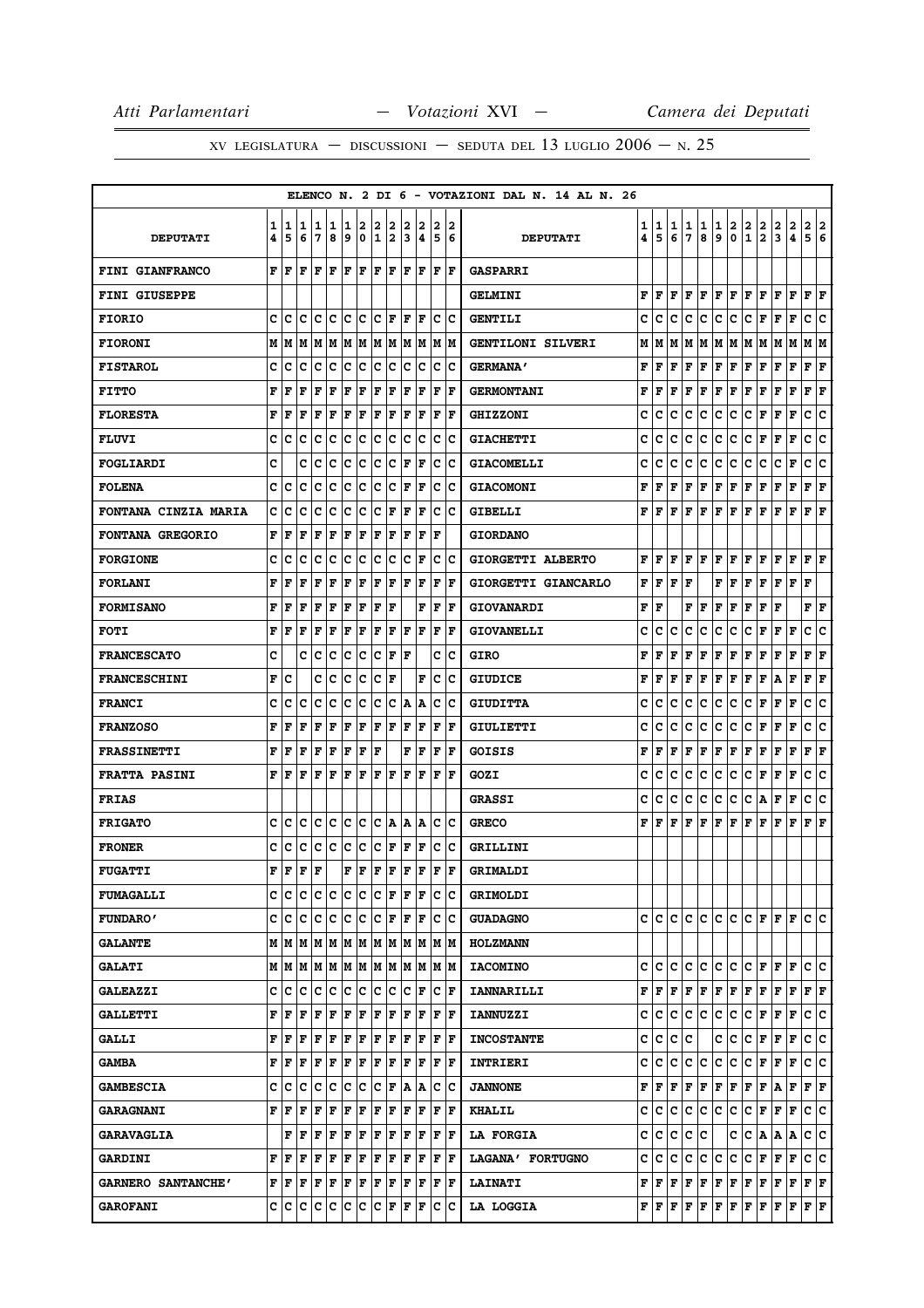|                             |        |                                                                                                                                                |         |                                   |        |        |        |                      |        |        |        |             |                      | ELENCO N. 2 DI 6 - VOTAZIONI DAL N. 14 AL N. 26 |        |                                           |        |              |        |             |                   |                              |                                                                                                                                                    |                   |             |                        |     |
|-----------------------------|--------|------------------------------------------------------------------------------------------------------------------------------------------------|---------|-----------------------------------|--------|--------|--------|----------------------|--------|--------|--------|-------------|----------------------|-------------------------------------------------|--------|-------------------------------------------|--------|--------------|--------|-------------|-------------------|------------------------------|----------------------------------------------------------------------------------------------------------------------------------------------------|-------------------|-------------|------------------------|-----|
| <b>DEPUTATI</b>             | 1<br>4 | 1<br>5                                                                                                                                         | 11<br>6 | 1<br>7                            | 1<br>8 | 1<br>و | 2<br>0 | 2<br>1               | 2<br>2 | 2<br>3 | 2<br>4 | 2<br>5      | 12<br>6              | <b>DEPUTATI</b>                                 | 1<br>4 | 1<br>5                                    | 1<br>6 | 1<br>7       | 1<br>8 | 1<br>9      | $\mathbf{2}$<br>0 | $\mathbf{2}$<br>$\mathbf{1}$ | 2<br>$\overline{\mathbf{2}}$                                                                                                                       | $\mathbf{2}$<br>3 | 2<br>4      | 2 2<br>5 6             |     |
| FINI GIANFRANCO             | F      | ١F                                                                                                                                             | F       | l F                               | ΙF     | F      | l F    | l F                  | lF.    | lF.    | l F    |             | F F                  | <b>GASPARRI</b>                                 |        |                                           |        |              |        |             |                   |                              |                                                                                                                                                    |                   |             |                        |     |
| <b>FINI GIUSEPPE</b>        |        |                                                                                                                                                |         |                                   |        |        |        |                      |        |        |        |             |                      | <b>GELMINI</b>                                  | F      | F                                         | F      | F            | F      | F           | F                 | F                            | l F                                                                                                                                                | F                 | l F         | F                      | lF. |
| <b>FIORIO</b>               | c      | c                                                                                                                                              | ١c      | Iс                                | Ιc     | Ιc     | ١c     | с                    | F      | F      | ΙF     | с           | Ιc                   | <b>GENTILI</b>                                  | c      | c                                         | c      | c            | c      | c           | c                 | с                            | F                                                                                                                                                  | F                 | F           | c                      | c   |
| <b>FIORONI</b>              |        | MM                                                                                                                                             | M       | M M                               |        |        | M M    |                      | MM     |        | M M    |             | M M                  | <b>GENTILONI SILVERI</b>                        | м      | M                                         | M      | м            | M      | M M         |                   | M M                          |                                                                                                                                                    | M M               |             | M  M                   |     |
| <b>FISTAROL</b>             | c      | c                                                                                                                                              | c       | Iс                                | c      | c      | c      | c                    | c      | c      | Ιc     | c           | Ιc                   | <b>GERMANA'</b>                                 | F      | F                                         | F      | F            | F      | F           | F                 | F                            | F                                                                                                                                                  | F                 | F           | F                      | F   |
| <b>FITTO</b>                | F      | F                                                                                                                                              | F       | F                                 | F      | F      | F      | ΙF                   | F      | l F    | F      | F           | F                    | <b>GERMONTANI</b>                               | F      | F                                         | F      | F            | F      | $\mathbf F$ | F                 | F                            | F                                                                                                                                                  | F                 | F           | F                      | F   |
| <b>FLORESTA</b>             | F      | F                                                                                                                                              | l F     | F                                 | l F    | F      | F      | F                    | F      | l F    | F      | l F         | F                    | <b>GHIZZONI</b>                                 | c      | c                                         | c      | c            | с      | c           | c                 | с                            | F                                                                                                                                                  | F                 | F           | c                      | c   |
| <b>FLUVI</b>                | c      | Iс                                                                                                                                             | Iс      | с                                 | Iс     | Ιc     | Iс     | c                    | с      | c      | Ιc     | с           | Ιc                   | <b>GIACHETTI</b>                                | c      | c                                         | c      | c            | c      | с           | c                 | с                            | F                                                                                                                                                  | F                 | F           | c                      | ١c  |
| FOGLIARDI                   | c      |                                                                                                                                                | c       | c                                 | c      | c      | c      | c                    | c      | l F    | ΙF     | $\mathbf C$ | lc                   | <b>GIACOMELLI</b>                               | c      | c                                         | c      | c            | с      | c           | c                 | с                            | c                                                                                                                                                  | c                 | F           | с                      | c   |
| <b>FOLENA</b>               | c      | lc                                                                                                                                             | c       | с                                 | Iс     | Ιc     | c      | c                    | c      | l F    | F      | c           | Ιc                   | <b>GIACOMONI</b>                                | F      | F                                         | F      | F            | F      | F           | F                 | F                            | F                                                                                                                                                  | F                 | F           | F                      | F   |
| <b>FONTANA CINZIA MARIA</b> | с      | c                                                                                                                                              | c       | с                                 | Iс     | Ιc     | Iс     | c                    | F      | F      | F      | с           | Ιc                   | <b>GIBELLI</b>                                  | F      | l F                                       | F      | F            | F      | F           | F                 | F                            | F                                                                                                                                                  | F                 | F           | $ {\bf F}  {\bf F} $   |     |
| <b>FONTANA GREGORIO</b>     | F      | F                                                                                                                                              | F       | F                                 | l F    | l F    | F      | ΙF                   | F      | l F    | F      | F           |                      | <b>GIORDANO</b>                                 |        |                                           |        |              |        |             |                   |                              |                                                                                                                                                    |                   |             |                        |     |
| <b>FORGIONE</b>             | c      | c                                                                                                                                              | c       | Iс                                | Ιc     | c      | c      | c                    | c      | c      | F      | c           | Ιc                   | GIORGETTI ALBERTO                               | F      | l F                                       | F      | F            | F      | F           | F                 | F                            | F                                                                                                                                                  | F                 | F           | $\bf F \,   \bf F$     |     |
| <b>FORLANI</b>              | F      | F                                                                                                                                              | F       | F                                 | F      | F      | F      | F                    | F      | lF.    | F      | F           | lF.                  | GIORGETTI GIANCARLO                             | F      | F                                         | F      | F            |        | F           | F                 | F                            | F                                                                                                                                                  | F                 | F           | F                      |     |
| <b>FORMISANO</b>            | F      | F                                                                                                                                              | F       | F                                 | ΙF     | F      | F      | ΙF                   | F      |        | F      | F           | l F                  | <b>GIOVANARDI</b>                               | F      | F                                         |        | F            | F      | F           | F                 | F                            | F                                                                                                                                                  | F                 |             | ${\bf F} \mid {\bf F}$ |     |
| <b>FOTI</b>                 | F      | l F                                                                                                                                            | F       | F                                 | F      | F      | F      | F                    | F      | lF.    | F      | l F         | lF.                  | <b>GIOVANELLI</b>                               | c      | с                                         | c      | c            | с      | c           | c                 | с                            | F                                                                                                                                                  | F                 | F           | c                      | lc. |
| <b>FRANCESCATO</b>          | C      |                                                                                                                                                | c       | Ιc                                | Ιc     | c      | c      | c                    | F      | ΙF     |        | c           | Ιc                   | <b>GIRO</b>                                     | F      | F                                         | F      | F            | F      | F           | F                 | F                            | F                                                                                                                                                  | F                 | F           | F                      | F   |
| <b>FRANCESCHINI</b>         | F      | с                                                                                                                                              |         | c                                 | Iс     | c      | c      | c                    | F      |        | F      | c           | Ιc                   | <b>GIUDICE</b>                                  | F      | F                                         | F      | F            | F      | F           | F                 | F                            | F                                                                                                                                                  | A                 | F           | F                      | F   |
| <b>FRANCI</b>               | c      | c                                                                                                                                              | c       | Iс                                | C      | c      | c      | c                    | c      | A      | ١A     | c           | Ιc                   | <b>GIUDITTA</b>                                 | c      | c                                         | c      | c            | с      | c           | с                 | c                            | F                                                                                                                                                  | F                 | F           | c                      | c   |
| <b>FRANZOSO</b>             | F      | l F                                                                                                                                            | l F     | F                                 | F      | F      | F      | ΙF                   | F      | ΙF     | F      | $\mathbf F$ | F                    | GIULIETTI                                       | c      | c                                         | c      | c            | c      | c           | c                 | с                            | F                                                                                                                                                  | F                 | F           | c                      | c   |
| <b>FRASSINETTI</b>          | F      | F                                                                                                                                              | F       | F                                 | F      | F      | F      | l F                  |        | F      | F      | F           | lF.                  | GOISIS                                          | F      | F                                         | F      | F            | F      | F           | F                 | F                            | F                                                                                                                                                  | F                 | F           | F                      | F   |
| <b>FRATTA PASINI</b>        | F      | l F                                                                                                                                            | l F     | F                                 | ΙF     | F      | F      | ΙF                   | F      | F      | F      | F           | l F                  | GOZI                                            | c      | c                                         | c      | c            | c      | c           | c                 | c                            | F                                                                                                                                                  | F                 | $\mathbf F$ | c                      | c   |
| <b>FRIAS</b>                |        |                                                                                                                                                |         |                                   |        |        |        |                      |        |        |        |             |                      | <b>GRASSI</b>                                   | c      | c                                         | c      | c            | c      | c           | c                 | c                            | A                                                                                                                                                  | F                 | F           | c                      | lc. |
| <b>FRIGATO</b>              | c      | Iс                                                                                                                                             | c       | Iс                                | Ιc     | Ιc     | ΙC     | c                    | ١A     | А      | A      | с           | ١c                   | <b>GRECO</b>                                    | F      | l F                                       | F      | F            | F      | F           | F                 | F                            | F                                                                                                                                                  | F                 | F           | F                      | ΙF  |
| <b>FRONER</b>               | c      | Iс                                                                                                                                             | c       | Iс                                | c      | Iс     | c      | c                    | F      | F      | F      | c           | Ιc                   | <b>GRILLINI</b>                                 |        |                                           |        |              |        |             |                   |                              |                                                                                                                                                    |                   |             |                        |     |
| <b>FUGATTI</b>              | F      | F                                                                                                                                              | F       | lF.                               |        | F      | l F    | F                    | F      | lF.    | F      | F           | ΙF                   | GRIMALDI                                        |        |                                           |        |              |        |             |                   |                              |                                                                                                                                                    |                   |             |                        |     |
| <b>FUMAGALLI</b>            |        | c  c  c  c  c                                                                                                                                  |         |                                   |        | c c    |        | $ {\bf C}  {\bf F} $ |        |        | F  F   |             | c c                  | <b>GRIMOLDI</b>                                 |        |                                           |        |              |        |             |                   |                              |                                                                                                                                                    |                   |             |                        |     |
| <b>FUNDARO'</b>             |        | c  c  c  c  c  c  c                                                                                                                            |         |                                   |        |        |        | $ {\bf C}  {\bf F} $ |        |        | F  F   |             | c c                  | <b>GUADAGNO</b>                                 |        | c Ic.                                     | с      |              | c c    | c c         |                   | $ {\tt C} \,  $ ${\tt F} \,$ |                                                                                                                                                    | $F$ $\bf{F}$      |             | lc lc                  |     |
| <b>GALANTE</b>              |        | MMMMMMMM                                                                                                                                       |         |                                   |        |        |        | lм                   | lМ     | lМ     | lМ     |             | M M                  | <b>HOLZMANN</b>                                 |        |                                           |        |              |        |             |                   |                              |                                                                                                                                                    |                   |             |                        |     |
| <b>GALATI</b>               |        |                                                                                                                                                |         |                                   |        |        |        |                      |        |        |        |             | M M                  | <b>IACOMINO</b>                                 |        | c c c                                     |        |              | c c    | c c         |                   |                              | C F F F                                                                                                                                            |                   |             | c c                    |     |
| <b>GALEAZZI</b>             |        | c  c                                                                                                                                           | ١c      | Ιc                                | Iс     | lc.    | c      | Ιc                   | Iс     | Iс     | F      | с           | lF.                  | <b>IANNARILLI</b>                               |        | FIF                                       | F      | F            | F      | F           | F                 | F                            | F                                                                                                                                                  | F                 | F           | $F$ $\bf{F}$           |     |
| <b>GALLETTI</b>             | F      | ١F                                                                                                                                             | F       | F                                 | F      | F      | F      | F                    | F      | F      | F      | F           | ١F                   | <b>IANNUZZI</b>                                 | c      | c                                         | c      | с            | IС     | c           | c                 | c                            | F                                                                                                                                                  | F                 | F           | c c                    |     |
| <b>GALLI</b>                | F      | ١F                                                                                                                                             | l F     | lF.                               | ΙF     | F      | F      | F                    | F      | F      | F      | l F         | ١F                   | <b>INCOSTANTE</b>                               | c      | с                                         | c      | c            |        | c           | c                 | c                            | F                                                                                                                                                  | F                 | l F         | c c                    |     |
| <b>GAMBA</b>                | F      | F                                                                                                                                              | F       | F                                 | F      | F      | F      | F                    | F      | F      | ١F     |             | F  F                 | <b>INTRIERI</b>                                 | c      | lc.                                       | c      | c            | c      | c           | c                 | lc.                          | F                                                                                                                                                  | F                 | F           | c c                    |     |
| <b>GAMBESCIA</b>            |        | c  c                                                                                                                                           | lc.     | Ιc                                | Ιc     | Iс     | ΙC     | Ιc                   | ١F     | İΑ     | ١A     | с           | ΙC                   | <b>JANNONE</b>                                  |        | FF                                        | F      | $\mathbf{F}$ | F      | F           | F                 | F                            | F                                                                                                                                                  | A                 | F           | $ {\bf F}  {\bf F} $   |     |
| <b>GARAGNANI</b>            | F      | ١F                                                                                                                                             | l F     | F                                 | F      | F      | F      | F                    | F      | F      | ΙF     | F           | ١F                   | <b>KHALIL</b>                                   | с      | c                                         | c      | c            | lc.    | c           | c                 | c                            | F                                                                                                                                                  | F                 | F           | c c                    |     |
| <b>GARAVAGLIA</b>           |        |                                                                                                                                                |         | ${\bf F}$ $\bf F$ $\bf F$ $\bf F$ |        | F F    |        | F F                  |        |        | F  F   |             | $ {\bf F}  {\bf F} $ | <b>LA FORGIA</b>                                | c      | lc.                                       | lc.    | c            | lc.    |             | c                 | c                            | A                                                                                                                                                  | A   A             |             | c c                    |     |
| <b>GARDINI</b>              | F      | ١F                                                                                                                                             | F       | F                                 | F      | F      | F      | F                    | F      | F      | F      | F           | ١F                   | LAGANA' FORTUGNO                                | c      | c                                         | с      | c            | c      | c           | c                 | с                            | F                                                                                                                                                  | F                 | F           | C C                    |     |
| GARNERO SANTANCHE'          |        | $\mathbf{F} \left  \mathbf{F} \right. \left  \mathbf{F} \right. \left  \mathbf{F} \right. \left  \mathbf{F} \right. \left  \mathbf{F} \right.$ |         |                                   |        | F F    |        | F                    | F      | F      | ١F     |             | F F                  | <b>LAINATI</b>                                  |        | ${\bf F}$ $\bf F$ $\bf F$ $\bf F$ $\bf F$ |        |              |        | F F         |                   | F F                          |                                                                                                                                                    | F                 | F           | F F                    |     |
| <b>GAROFANI</b>             |        | c  c  c  c  c  c  c  c                                                                                                                         |         |                                   |        |        |        |                      | F      | lF.    | lF.    |             | c c                  | <b>LA LOGGIA</b>                                |        |                                           |        |              |        |             |                   |                              | ${\bf F}\, \,{\bf F}\, \,{\bf F}\, \,{\bf F}\, \,{\bf F}\, \,{\bf F}\, \,{\bf F}\, \,{\bf F}\, \,{\bf F}\, \,{\bf F}\, \,{\bf F}\, \,{\bf F}\, \,$ |                   |             | F F                    |     |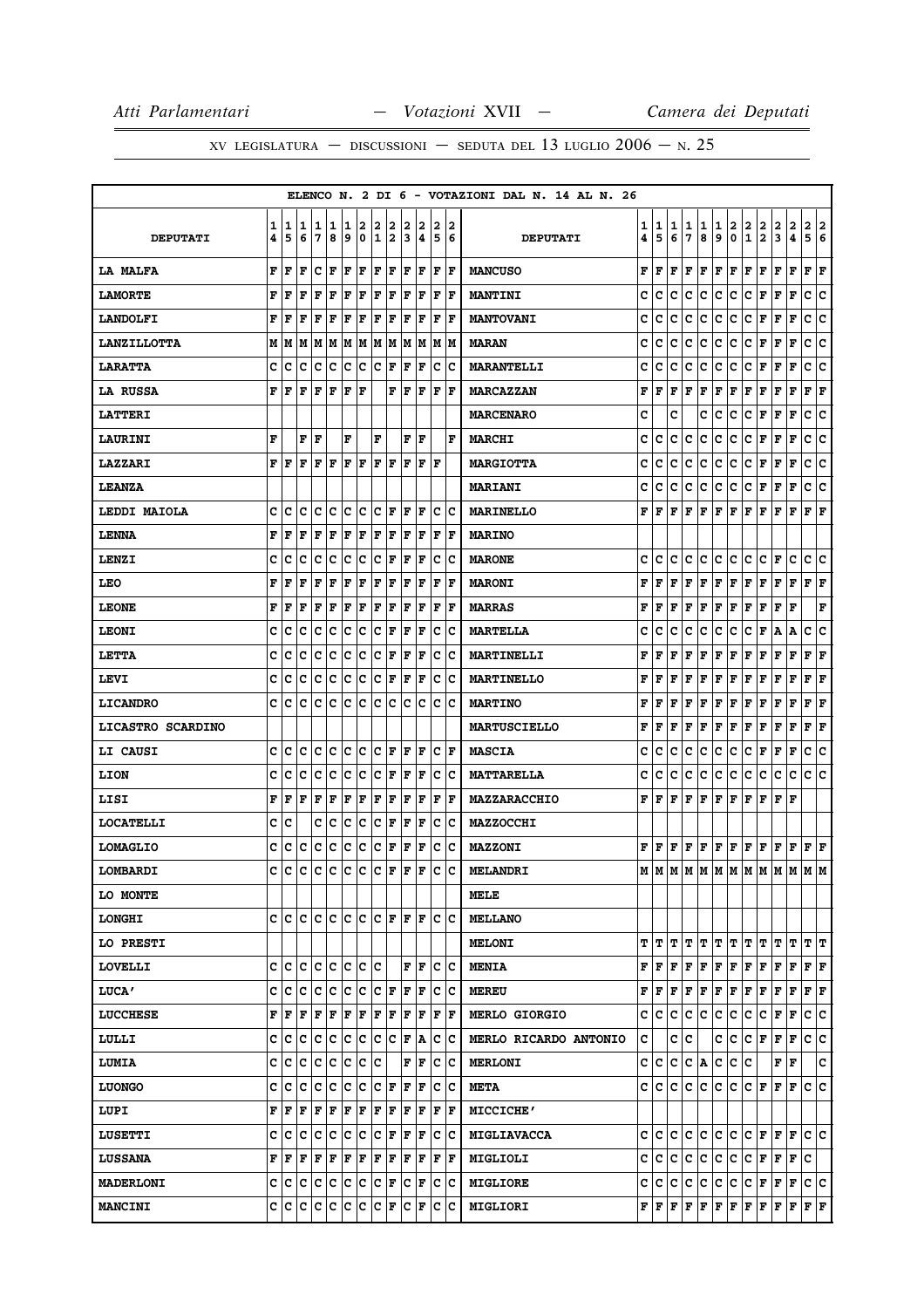|                          |        |         |        |        |             |        |        |        |        |        |        |        |         | ELENCO N. 2 DI 6 - VOTAZIONI DAL N. 14 AL N. 26 |        |        |         |           |        |                      |                   |                              |                                                                                                                                                                            |                      |                   |                           |     |
|--------------------------|--------|---------|--------|--------|-------------|--------|--------|--------|--------|--------|--------|--------|---------|-------------------------------------------------|--------|--------|---------|-----------|--------|----------------------|-------------------|------------------------------|----------------------------------------------------------------------------------------------------------------------------------------------------------------------------|----------------------|-------------------|---------------------------|-----|
| <b>DEPUTATI</b>          | 1<br>4 | 1<br>5  | 1<br>6 | 1<br>7 | 1<br>8      | 1<br>9 | 2<br>0 | 2<br>1 | 2<br>2 | 2<br>3 | 2<br>4 | 2<br>5 | 12<br>6 | <b>DEPUTATI</b>                                 | 1<br>4 | 1<br>5 | 1<br>6  | 1<br>7    | 1<br>8 | 1<br>9               | $\mathbf{2}$<br>0 | $\mathbf{2}$<br>$\mathbf{1}$ | 2<br>$\overline{\mathbf{2}}$                                                                                                                                               | 2<br>3               | $\mathbf{2}$<br>4 | 2 2<br>5 6                |     |
| <b>LA MALFA</b>          | F      | F       | l F    | c      | l F         | F      | l F    | F      | F      | l F    | F      | l F    | ١F      | <b>MANCUSO</b>                                  | F      | F      | F       | F         | F      | F                    | F                 | F                            | F                                                                                                                                                                          | F                    | F                 | ${\bf F} \,   \, {\bf F}$ |     |
| <b>LAMORTE</b>           | F      | F       | F      | F      | F           | F      | F      | F      | F      | l F    | F      | F      | F       | <b>MANTINI</b>                                  | c      | c      | c       | c         | c      | c                    | c                 | c                            | F                                                                                                                                                                          | F                    | F                 | c                         | ∣c  |
| <b>LANDOLFI</b>          | F      | F       | F      | F      | F           | F      | F      | F      | F      | F      | F      | F      | l F     | <b>MANTOVANI</b>                                | c      | c      | c       | c         | c      | c                    | c                 | с                            | F                                                                                                                                                                          | F                    | $\mathbf F$       | c                         | c   |
| <b>LANZILLOTTA</b>       | M      | M       | M      | M      | M           | M      | M      | M      | M      | M      | M      | M      | M       | <b>MARAN</b>                                    | c      | c      | c       | c         | c      | c                    | c                 | с                            | F                                                                                                                                                                          | F                    | F                 | c                         | c   |
| <b>LARATTA</b>           | c      | c       | c      | c      | c           | c      | c      | c      | F      | F      | F      | c      | c       | <b>MARANTELLI</b>                               | c      | c      | с       | c         | с      | c                    | c                 | с                            | F                                                                                                                                                                          | г                    | F                 | с                         | c   |
| <b>LA RUSSA</b>          | F      | F       | l F    | F      | l F         | F      | l F    |        | F      | l F    | F      | l F    | l F     | <b>MARCAZZAN</b>                                | F      | F      | F       | F         | F      | $\mathbf F$          | F                 | F                            | F                                                                                                                                                                          | F                    | F                 | F                         | F   |
| <b>LATTERI</b>           |        |         |        |        |             |        |        |        |        |        |        |        |         | <b>MARCENARO</b>                                | C      |        | C       |           | C      | C                    | c                 | c                            | F                                                                                                                                                                          | F                    | F                 | c                         | ∣c  |
| <b>LAURINI</b>           | F      |         | F      | F      |             | F      |        | F      |        | F      | F      |        | F       | <b>MARCHI</b>                                   | C      | c      | C       | c         | c      | c                    | c                 | с                            | F                                                                                                                                                                          | F                    | F                 | c                         | ١c  |
| <b>LAZZARI</b>           | F      | ١F      | l F    | F      | l F         | F      | lF.    | F      | lF.    | ΙF     | F      | lF     |         | <b>MARGIOTTA</b>                                | c      | c      | c       | c         | c      | c                    | c                 | c                            | F                                                                                                                                                                          | F                    | F                 | c                         | ∣c  |
| <b>LEANZA</b>            |        |         |        |        |             |        |        |        |        |        |        |        |         | <b>MARIANI</b>                                  | c      | c      | c       | c         | с      | c                    | c                 | с                            | F                                                                                                                                                                          | F                    | F                 | c                         | Ιc  |
| LEDDI MAIOLA             | c      | c       | c      | с      | Iс          | lc.    | c      | c      | F      | F      | F      | c      | Iс      | <b>MARINELLO</b>                                | F      | l F    | F       | F         | F      | F                    | F                 | F                            | F                                                                                                                                                                          | F                    | F                 | $\bf{F}$ $\bf{F}$         |     |
| <b>LENNA</b>             | F      | F       | F      | F      | F           | F      | F      | l F    | F      | l F    | F      | l F    | l F     | <b>MARINO</b>                                   |        |        |         |           |        |                      |                   |                              |                                                                                                                                                                            |                      |                   |                           |     |
| LENZI                    | C      | c       | c      | C      | C           | c      | c      | c      | F      | F      | F      | c      | Ιc      | <b>MARONE</b>                                   | c      | c      | c       | c         | c      | c                    | c                 | c                            | c                                                                                                                                                                          | F                    | c                 | c                         | ١c  |
| LEO                      | F      | F       | F      | F      | $\mathbf F$ | F      | F      | F      | F      | l F    | F      | l F    | l F     | <b>MARONI</b>                                   | F      | F      | F       | F         | F      | F                    | F                 | F                            | F                                                                                                                                                                          | F                    | F                 | ${\bf F}$ ${\bf F}$       |     |
| <b>LEONE</b>             | F      | F       | F      | F      | F           | F      | l F    | F      | F      | l F    | F      | ΙF     | l F     | <b>MARRAS</b>                                   | F      | F      | F       | F         | F      | F                    | F                 | F                            | F                                                                                                                                                                          | F                    | l F               |                           | F   |
| <b>LEONI</b>             | c      | c       | c      | c      | c           | c      | ∣c     | c      | F      | F      | F      | c      | Ιc      | <b>MARTELLA</b>                                 | c      | c      | c       | c         | с      | c                    | c                 | с                            | F                                                                                                                                                                          | Α                    | A                 | с                         | c   |
| LETTA                    | c      | c       | c      | c      | c           | c      | c      | c      | F      | F      | F      | c      | Ιc      | MARTINELLI                                      | F      | F      | F       | F         | F      | F                    | F                 | F                            | F                                                                                                                                                                          | F                    | F                 | F                         | F   |
| <b>LEVI</b>              | c      | c       | c      | c      | c           | c      | c      | c      | F      | F      | F      | c      | Iс      | <b>MARTINELLO</b>                               | F      | F      | F       | F         | F      | F                    | F                 | F                            | F                                                                                                                                                                          | F                    | F                 | F                         | F   |
| <b>LICANDRO</b>          | C      | c       | c      | c      | C           | c      | c      | c      | c      | c      | c      | c      | c       | <b>MARTINO</b>                                  | F      | F      | F       | F         | F      | F                    | F                 | F                            | F                                                                                                                                                                          | F                    | F                 | F                         | F   |
| <b>LICASTRO SCARDINO</b> |        |         |        |        |             |        |        |        |        |        |        |        |         | <b>MARTUSCIELLO</b>                             | F      | F      | $\bf F$ | F         | F      | F                    | F                 | F                            | F                                                                                                                                                                          | F                    | F                 | F                         | F   |
| <b>LI CAUSI</b>          | c      | c       | c      | c      | c           | c      | c      | c      | F      | ΙF     | F      | c      | F       | <b>MASCIA</b>                                   | c      | c      | c       | с         | с      | с                    | c                 | с                            | F                                                                                                                                                                          | F                    | F                 | c                         | ١c  |
| <b>LION</b>              | c      | c       | c      | c      | c           | c      | c      | c      | F      | F      | F      | c      | Ιc      | <b>MATTARELLA</b>                               | c      | c      | c       | c         | c      | c                    | c                 | c                            | c                                                                                                                                                                          | c                    | c                 | c                         | lc. |
| LISI                     | F      | F       | l F    | F      | F           | F      | F      | F      | F      | F      | F      | F      | F       | <b>MAZZARACCHIO</b>                             | F      | l F    | F       | l F       | F      | $ {\bf F}  {\bf F} $ |                   | F                            | F                                                                                                                                                                          | $ {\bf F}  {\bf F} $ |                   |                           |     |
| <b>LOCATELLI</b>         | c      | c       |        | c      | c           | c      | c      | c      | F      | F      | F      | c      | Ιc      | <b>MAZZOCCHI</b>                                |        |        |         |           |        |                      |                   |                              |                                                                                                                                                                            |                      |                   |                           |     |
| <b>LOMAGLIO</b>          | c      | с       | c      | c      | c           | c      | c      | c      | F      | F      | F      | c      | Ιc      | <b>MAZZONI</b>                                  |        |        |         |           |        |                      |                   |                              | ${\bf F}\, \, {\bf F}\, \, {\bf F}\, \, {\bf F}\, \, {\bf F}\, \, {\bf F}\, \, {\bf F}\, \, {\bf F}\, \, {\bf F}\, \, {\bf F}\, \, {\bf F}\, \, {\bf F}\, \, {\bf F}\, \,$ |                      |                   |                           |     |
| LOMBARDI                 | c      | C       | C      | c      | c           | c      | c      | c      | F      | F      | F      | c      | c       | <b>MELANDRI</b>                                 |        |        |         |           |        |                      |                   |                              | $M$   $M$   $M$   $M$   $M$   $M$   $M$   $M$   $M$   $M$   $M$                                                                                                            |                      |                   |                           |     |
| LO MONTE                 |        |         |        |        |             |        |        |        |        |        |        |        |         | MELE                                            |        |        |         |           |        |                      |                   |                              |                                                                                                                                                                            |                      |                   |                           |     |
| <b>LONGHI</b>            | c      | lc lc   |        | lc lc  |             | lc.    | ١c     | c      | lF.    | lF.    | lF.    | lc.    | Ιc      | <b>MELLANO</b>                                  |        |        |         |           |        |                      |                   |                              |                                                                                                                                                                            |                      |                   |                           |     |
| <b>LO PRESTI</b>         |        |         |        |        |             |        |        |        |        |        |        |        |         | <b>MELONI</b>                                   | т      | IΤ     | т       | т         | IΤ     | т                    | т                 | т                            | т                                                                                                                                                                          | т                    | т                 | т                         | IΤ  |
| LOVELLI                  |        | c  c  c |        | c c    |             |        | c c    | lc.    |        | F      | F      | c      | ΙC      | <b>MENIA</b>                                    | F      | F      | F       | F         | F      | F                    | F                 | F                            | F                                                                                                                                                                          | F                    | F                 | F F                       |     |
| <b>LUCA'</b>             | c      | c       | c      | c      | c           | Ιc     | c      | с      | F      | F      | F      | c      | c       | <b>MEREU</b>                                    | F      | l F    | F       | F         | F      | F                    | F                 | F                            | F                                                                                                                                                                          | F                    | F                 | $ {\bf F}  {\bf F} $      |     |
| <b>LUCCHESE</b>          | F      | F       | F      | F      | F           | F      | F      | F      | F      | F      | F      | F      | lF.     | MERLO GIORGIO                                   | c      | с      | с       | c         | c      | c                    | c                 | с                            | c                                                                                                                                                                          | F                    | F                 | c                         | c   |
| LULLI                    | c      | c       | c      | c      | c           | c      | c      | c      | с      | F      | Α      | c      | Iс      | MERLO RICARDO ANTONIO                           | c      |        | с       | c         |        | с                    | с                 | c                            | F                                                                                                                                                                          | F                    | F                 | c                         | ∣c  |
| <b>LUMIA</b>             | C      | c       | lc     | c      | c           | lc.    | c      | c      |        | F      | F      | c      | Iс      | <b>MERLONI</b>                                  | c      | lc.    | lc.     | lc.       | A      | c                    | c.                | lc.                          |                                                                                                                                                                            | F                    | F                 |                           | c   |
| <b>LUONGO</b>            | c      | с       | Iс     | с      | c           | Ιc     | c      | c      | F      | ΙF     | F      | c      | Iс      | <b>META</b>                                     | c      | IC.    | lc.     | lc.       | c      | c                    | c                 | C                            | F                                                                                                                                                                          | F                    | F                 | lc.                       | ١c  |
| LUPI                     | F      | F       | F      | F      | F           | F      | F      | F      | F      | F      | F      | F      | l F     | <b>MICCICHE'</b>                                |        |        |         |           |        |                      |                   |                              |                                                                                                                                                                            |                      |                   |                           |     |
| <b>LUSETTI</b>           | c      | c       | ١c     | Iс     | ∣c          | c      | c      | c      | F      | F      | F      | c      | ΙC      | <b>MIGLIAVACCA</b>                              | c      | lc.    | lc.     | c         | lc.    | c c                  |                   | $ {\bf C}  {\bf F} $         |                                                                                                                                                                            | F F                  |                   | lc lc                     |     |
| <b>LUSSANA</b>           | F      | F       | F      | F      | F           | F      | F      | F      | F      | ΙF     | F      | F      | IF      | MIGLIOLI                                        | c      | c      | c       | с         | c      | c                    | c                 | с                            | F                                                                                                                                                                          | F                    | F                 | c                         |     |
| <b>MADERLONI</b>         | c      | c       | c      | c      | ∣c          | c      | c      | c      | F      | c      | F      | c      | Ιc      | <b>MIGLIORE</b>                                 | с      | C.     | IС      | c         | c      | c                    | c                 | c                            | F                                                                                                                                                                          | F                    | F                 | c c                       |     |
| <b>MANCINI</b>           | C      | ΙC      | lc.    | lc.    | Iс          | lc.    | lc.    | lc.    | F      | lc.    | F      | lc.    | Ιc      | <b>MIGLIORI</b>                                 |        |        |         | F F F F F |        | F F                  |                   |                              | F F                                                                                                                                                                        | F F                  |                   | F F                       |     |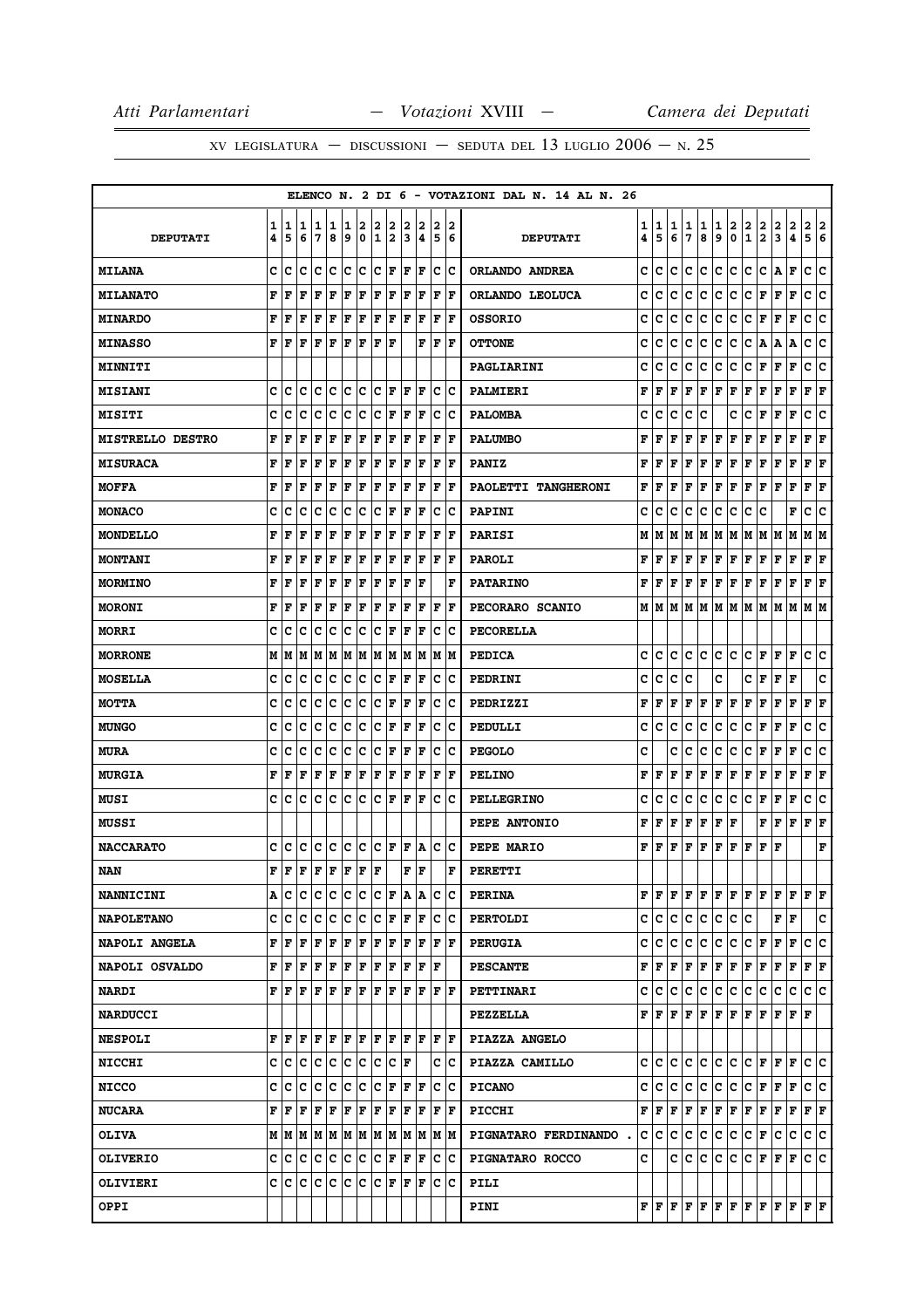|                         |             |        |        |        |             |        |             |                      |        |        |         |        |         | ELENCO N. 2 DI 6 - VOTAZIONI DAL N. 14 AL N. 26 |        |         |        |                     |                 |                     |                 |                                                                                                                                                                                                                                                                                                                                                                                                                                                                                            |                              |                         |             |                                                                                                                                                                                                                                                                                                                                                                                              |        |
|-------------------------|-------------|--------|--------|--------|-------------|--------|-------------|----------------------|--------|--------|---------|--------|---------|-------------------------------------------------|--------|---------|--------|---------------------|-----------------|---------------------|-----------------|--------------------------------------------------------------------------------------------------------------------------------------------------------------------------------------------------------------------------------------------------------------------------------------------------------------------------------------------------------------------------------------------------------------------------------------------------------------------------------------------|------------------------------|-------------------------|-------------|----------------------------------------------------------------------------------------------------------------------------------------------------------------------------------------------------------------------------------------------------------------------------------------------------------------------------------------------------------------------------------------------|--------|
| <b>DEPUTATI</b>         | 1<br>4      | 1<br>5 | 1<br>6 | 1<br>7 | 1<br>8      | 1<br>9 | 2<br>0      | 2<br>1               | 2<br>2 | 2<br>3 | 2<br> 4 | 2<br>5 | 12<br>6 | <b>DEPUTATI</b>                                 | 1<br>4 | 1<br>5  | 1<br>6 | 1<br>7              | 1<br>8          | 1<br>9              | 2<br>0          | 2<br>$\mathbf{1}$                                                                                                                                                                                                                                                                                                                                                                                                                                                                          | 2<br>$\overline{\mathbf{2}}$ | 2<br>3                  | 2<br>4      | $\mathbf{2}$<br>5                                                                                                                                                                                                                                                                                                                                                                            | 2<br>6 |
| <b>MILANA</b>           | c           | c      | c      | c      | Iс          | c      | lc.         | c                    | lF     | F      | F       | c      | Ιc      | ORLANDO ANDREA                                  | c      | c       | c      | c                   | с               | с                   | lc.             | с                                                                                                                                                                                                                                                                                                                                                                                                                                                                                          | с                            | A                       | F           | c                                                                                                                                                                                                                                                                                                                                                                                            | c      |
| <b>MILANATO</b>         | F           | F      | F      | F      | $\mathbf F$ | F      | $\mathbf F$ | F                    | F      | F      | F       | F      | lF.     | ORLANDO LEOLUCA                                 | c      | c       | c      | c                   | c               | c                   | c               | с                                                                                                                                                                                                                                                                                                                                                                                                                                                                                          | F                            | F                       | $\mathbf F$ | c                                                                                                                                                                                                                                                                                                                                                                                            | ∣c     |
| <b>MINARDO</b>          | F           | F      | F      | F      | F           | F      | F           | F                    | F      | l F    | F       | F      | l F     | <b>OSSORIO</b>                                  | c      | c       | c      | c                   | c               | с                   | c               | с                                                                                                                                                                                                                                                                                                                                                                                                                                                                                          | l F                          | F                       | F           | c                                                                                                                                                                                                                                                                                                                                                                                            | C      |
| <b>MINASSO</b>          | F           | F      | F      | F      | F           | F      | F           | F                    | F      |        | F       | F      | lF.     | <b>OTTONE</b>                                   | c      | c       | c      | c                   | с               | с                   | с               | c                                                                                                                                                                                                                                                                                                                                                                                                                                                                                          | A                            | А                       | А           | с                                                                                                                                                                                                                                                                                                                                                                                            | c      |
| <b>MINNITI</b>          |             |        |        |        |             |        |             |                      |        |        |         |        |         | PAGLIARINI                                      | c      | c       | c      | c                   | с               | c                   | c               | c                                                                                                                                                                                                                                                                                                                                                                                                                                                                                          | F                            | F                       | F           | c                                                                                                                                                                                                                                                                                                                                                                                            | c      |
| <b>MISIANI</b>          | c           | c      | C      | c      | c           | c      | ∣c          | c                    | F      | l F    | F       | c      | Ιc      | <b>PALMIERI</b>                                 | F      | l F     | F      | l F                 | F               | F                   | F               | F                                                                                                                                                                                                                                                                                                                                                                                                                                                                                          | F                            | F                       | F           | F                                                                                                                                                                                                                                                                                                                                                                                            | F      |
| <b>MISITI</b>           | C           | c      | c      | C      | c           | c      | c           | c                    | F      | l F    | F       | c      | Ιc      | <b>PALOMBA</b>                                  | c      | c       | c      | C                   | c               |                     | c               | c                                                                                                                                                                                                                                                                                                                                                                                                                                                                                          | F                            | F                       | F           | C                                                                                                                                                                                                                                                                                                                                                                                            | c      |
| <b>MISTRELLO DESTRO</b> | F           | F      | F      | F      | F           | F      | F           | l F                  | F      | ΙF     | F       | F      | ΙF      | <b>PALUMBO</b>                                  | F      | l F     | F      | F                   | F               | F                   | F               | F                                                                                                                                                                                                                                                                                                                                                                                                                                                                                          | F                            | F                       | F           | F                                                                                                                                                                                                                                                                                                                                                                                            | F      |
| <b>MISURACA</b>         | F           | F      | F      | F      | F           | ΙF     | F           | F                    | F      | l F    | ΙF      | F      | l F     | <b>PANIZ</b>                                    | F      | ΙF      | F      | l F                 | F               | F                   | F               | F                                                                                                                                                                                                                                                                                                                                                                                                                                                                                          | F                            | F                       | $\mathbf F$ | F                                                                                                                                                                                                                                                                                                                                                                                            | F      |
| <b>MOFFA</b>            | F           | F      | F      | F      | F           | F      | F           | l F                  | F      | ΙF     | ΙF      | F      | l F     | PAOLETTI TANGHERONI                             | F      | ΙF      | F      | l F                 | F               | F                   | F               | F                                                                                                                                                                                                                                                                                                                                                                                                                                                                                          | l F                          | F                       | F           | F                                                                                                                                                                                                                                                                                                                                                                                            | F      |
| <b>MONACO</b>           | c           | c      | c      | с      | c           | c      | c           | c                    | F      | F      | F       | с      | Ιc      | <b>PAPINI</b>                                   | c      | c       | c      | c                   | с               | с                   | c               | c                                                                                                                                                                                                                                                                                                                                                                                                                                                                                          | c                            |                         | F           | с                                                                                                                                                                                                                                                                                                                                                                                            | c      |
| <b>MONDELLO</b>         | F           | F      | F      | F      | F           | F      | F           | F                    | F      | l F    | F       | F      | l F     | <b>PARISI</b>                                   | М      | IМ      | M      | lм                  | M               | M   M               |                 | M                                                                                                                                                                                                                                                                                                                                                                                                                                                                                          | lм                           | M                       | lМ          | М                                                                                                                                                                                                                                                                                                                                                                                            | lМ     |
| <b>MONTANI</b>          | F           | F      | l F    | F      | F           | l F    | F           | l F                  | F      | l F    | F       | F      | l F     | <b>PAROLI</b>                                   | F      | l F     | F      | F                   | F               | F                   | F               | F                                                                                                                                                                                                                                                                                                                                                                                                                                                                                          | F                            | F                       | $\mathbf F$ | F                                                                                                                                                                                                                                                                                                                                                                                            | F      |
| <b>MORMINO</b>          | F           | F      | F      | F      | F           | F      | F           | F                    | F      | l F    | ΙF      |        | F       | <b>PATARINO</b>                                 | F      | F       | F      | F                   | F               | F                   | F               | F                                                                                                                                                                                                                                                                                                                                                                                                                                                                                          | F                            | F                       | F           | F                                                                                                                                                                                                                                                                                                                                                                                            | F      |
| <b>MORONI</b>           | F           | F      | F      | F      | F           | F      | F           | F                    | F      | F      | ΙF      | F      | l F     | PECORARO SCANIO                                 |        | MIM     |        | M   M   M           |                 | M  M                |                 | M                                                                                                                                                                                                                                                                                                                                                                                                                                                                                          | lм                           | M                       | M           | M  M                                                                                                                                                                                                                                                                                                                                                                                         |        |
| <b>MORRI</b>            | c           | c      | c      | c      | c           | c      | c           | c                    | F      | l F    | F       | c      | Ιc      | <b>PECORELLA</b>                                |        |         |        |                     |                 |                     |                 |                                                                                                                                                                                                                                                                                                                                                                                                                                                                                            |                              |                         |             |                                                                                                                                                                                                                                                                                                                                                                                              |        |
| <b>MORRONE</b>          | M           | lМ     | M      | M      | lМ          | M      | M           | IМ                   | M      | M      | lМ      | lм     | lМ      | <b>PEDICA</b>                                   | c      | c       | c      | c                   | c               | c                   | lc.             | c                                                                                                                                                                                                                                                                                                                                                                                                                                                                                          | F                            | F                       | ΙF          | c                                                                                                                                                                                                                                                                                                                                                                                            | c      |
| <b>MOSELLA</b>          | c           | c      | c      | c      | c           | c      | c           | c                    | F      | F      | F       | с      | Ιc      | PEDRINI                                         | c      | c       | c      | c                   |                 | c                   |                 | c                                                                                                                                                                                                                                                                                                                                                                                                                                                                                          | F                            | F                       | F           |                                                                                                                                                                                                                                                                                                                                                                                              | c      |
| <b>MOTTA</b>            | c           | c      | c      | c      | c           | c      | c           | c                    | F      | l F    | F       | c      | Ιc      | PEDRIZZI                                        | F      | l F     | F      | F                   | F               | F                   | F               | F                                                                                                                                                                                                                                                                                                                                                                                                                                                                                          | F                            | F                       | F           | F                                                                                                                                                                                                                                                                                                                                                                                            | F      |
| <b>MUNGO</b>            | C           | c      | c      | c      | C           | c      | c           | c                    | F      | l F    | F       | c      | Ιc      | PEDULLI                                         | c      | c       | c      | c                   | c               | c                   | c               | с                                                                                                                                                                                                                                                                                                                                                                                                                                                                                          | F                            | F                       | F           | C                                                                                                                                                                                                                                                                                                                                                                                            | C      |
| <b>MURA</b>             | c           | c      | c      | c      | c           | c      | c           | c                    | F      | ΙF     | F       | c      | Ιc      | <b>PEGOLO</b>                                   | c      |         | c      | c                   | c               | с                   | c               | c                                                                                                                                                                                                                                                                                                                                                                                                                                                                                          | F                            | F                       | F           | с                                                                                                                                                                                                                                                                                                                                                                                            | c      |
| <b>MURGIA</b>           | F           | F      | F      | F      | F           | F      | F           | F                    | F      | F      | ΙF      | F      | l F     | <b>PELINO</b>                                   | F      | l F     | F      | l F                 | F               | F                   | F               | F                                                                                                                                                                                                                                                                                                                                                                                                                                                                                          | F                            | F                       | F           | F                                                                                                                                                                                                                                                                                                                                                                                            | F      |
| <b>MUSI</b>             | c           | Iс     | Iс     | Iс     | ١c          | Ιc     | lc.         | Ιc                   | F      | lF.    | F       | c      | Ιc      | <b>PELLEGRINO</b>                               | с      | с       | c      | c                   | с               | с                   | c               | с                                                                                                                                                                                                                                                                                                                                                                                                                                                                                          | F                            | F                       | $\mathbf F$ | c                                                                                                                                                                                                                                                                                                                                                                                            | c      |
| <b>MUSSI</b>            |             |        |        |        |             |        |             |                      |        |        |         |        |         | PEPE ANTONIO                                    | F      | l F     | F      | F                   | F               | F                   | l F             |                                                                                                                                                                                                                                                                                                                                                                                                                                                                                            | F                            | F                       | F           | F                                                                                                                                                                                                                                                                                                                                                                                            | F      |
| <b>NACCARATO</b>        | c           | C      | c      | c      | c           | c      | c           | lc.                  | F      | F      | ١A      | c      | ∣c      | PEPE MARIO                                      | F      | l F     | F      | l F                 | F               | F                   | F               | F                                                                                                                                                                                                                                                                                                                                                                                                                                                                                          | F                            | F                       |             |                                                                                                                                                                                                                                                                                                                                                                                              | F      |
| <b>NAN</b>              | $\mathbf F$ | F      | ΙF     | F      | l F         | F      | F           | F                    |        | F      | F       |        | F       | <b>PERETTI</b>                                  |        |         |        |                     |                 |                     |                 |                                                                                                                                                                                                                                                                                                                                                                                                                                                                                            |                              |                         |             |                                                                                                                                                                                                                                                                                                                                                                                              |        |
| <b>NANNICINI</b>        |             | A   C  | lc     | Iс     | c           | lc.    | ∣c          | lc.                  | ١F     |        | A  A    | Iс     | Iс      | <b>PERINA</b>                                   |        |         |        |                     |                 |                     |                 |                                                                                                                                                                                                                                                                                                                                                                                                                                                                                            |                              |                         |             | $ {\bf F}  {\bf F} $                                                                                                                                                                                                                                                                                                                                                                         |        |
| <b>NAPOLETANO</b>       |             | C C C  |        | с      | ΙC          | c c    |             | $ {\bf C}  {\bf F} $ |        |        | F  F    |        | ∣c ∣c   | <b>PERTOLDI</b>                                 |        |         |        |                     |                 |                     | C C C C C C C C |                                                                                                                                                                                                                                                                                                                                                                                                                                                                                            |                              | F                       | F           |                                                                                                                                                                                                                                                                                                                                                                                              | с      |
| <b>NAPOLI ANGELA</b>    | F           | l F    | l F    | F      | F           | F      | F           | F                    | F      | F      | F       | F      | ١F      | <b>PERUGIA</b>                                  |        | c c     | IC.    | IC.                 | IC.             | lc.                 | lc.             | $ {\bf C}  {\bf F} $                                                                                                                                                                                                                                                                                                                                                                                                                                                                       |                              | F                       | F           | c                                                                                                                                                                                                                                                                                                                                                                                            | lc     |
| NAPOLI OSVALDO          |             | FF     | F      | F      | F           | F F    |             | F F                  |        | F      | F       | ΙF     |         | <b>PESCANTE</b>                                 |        |         |        |                     |                 |                     |                 | $\mathbf{F} \left  \mathbf{F} \right. \left  \mathbf{F} \right. \left  \mathbf{F} \right. \left  \mathbf{F} \right. \left  \mathbf{F} \right. \left  \mathbf{F} \right. \left  \mathbf{F} \right. \left  \mathbf{F} \right. \left  \mathbf{F} \right. \left  \mathbf{F} \right. \left  \mathbf{F} \right. \left  \mathbf{F} \right. \left  \mathbf{F} \right. \left  \mathbf{F} \right. \left  \mathbf{F} \right. \left  \mathbf{F} \right. \left  \mathbf{F} \right. \left  \mathbf{F} \$ |                              |                         |             | $\bf{F}$ $\bf{F}$ $\bf{F}$ $\bf{F}$                                                                                                                                                                                                                                                                                                                                                          |        |
| <b>NARDI</b>            |             | FF     | ΙF     | lF.    | ١F          | ١F     | ١F          | lF.                  | ١F     | lF.    | l F     | F      | ΙF      | <b>PETTINARI</b>                                |        | c ic ic |        | $ {\bf C} {\bf C} $ |                 | $ {\bf C} {\bf C} $ |                 | c c                                                                                                                                                                                                                                                                                                                                                                                                                                                                                        |                              | c                       | c           | c c                                                                                                                                                                                                                                                                                                                                                                                          |        |
| <b>NARDUCCI</b>         |             |        |        |        |             |        |             |                      |        |        |         |        |         | <b>PEZZELLA</b>                                 |        |         |        |                     |                 |                     |                 | ${\bf F}\, \,{\bf F}\, \,{\bf F}\, \,{\bf F}\, \,{\bf F}\, \,{\bf F}\, \,{\bf F}\, \,{\bf F}\, \,{\bf F}\,$                                                                                                                                                                                                                                                                                                                                                                                |                              | F                       | F  F        |                                                                                                                                                                                                                                                                                                                                                                                              |        |
| <b>NESPOLI</b>          | F           | ١F     | l F    | F      | ١F          | FF     |             | F F                  |        |        | F F     |        | F  F    | PIAZZA ANGELO                                   |        |         |        |                     |                 |                     |                 |                                                                                                                                                                                                                                                                                                                                                                                                                                                                                            |                              |                         |             |                                                                                                                                                                                                                                                                                                                                                                                              |        |
| <b>NICCHI</b>           |             | c c    | Iс     | Iс     | ١c          | lc.    | lc.         | lc.                  | Ιc     | ΙF     |         |        | c  c    | PIAZZA CAMILLO                                  |        |         |        |                     |                 |                     |                 |                                                                                                                                                                                                                                                                                                                                                                                                                                                                                            |                              | $C C C C C C C F F F F$ |             | c c                                                                                                                                                                                                                                                                                                                                                                                          |        |
| <b>NICCO</b>            | с           | Ιc     | Iс     | с      | Iс          | Ιc     | c           | Ιc                   | F      | F      | F       | Iс     | ΙC      | <b>PICANO</b>                                   |        |         |        |                     |                 |                     |                 | C C C C C C C F                                                                                                                                                                                                                                                                                                                                                                                                                                                                            |                              | F                       | F           | c c                                                                                                                                                                                                                                                                                                                                                                                          |        |
| <b>NUCARA</b>           | F           | l F    | ΙF     | F      | F           | F      | F           | F                    | F      | F      | F       | F      | ١F      | <b>PICCHI</b>                                   |        |         |        |                     |                 |                     |                 | ${\bf F}\, \,{\bf F}\, \,{\bf F}\, \,{\bf F}\, \,{\bf F}\, \,{\bf F}\, \,{\bf F}\, \,{\bf F}\, \,{\bf F}\,$                                                                                                                                                                                                                                                                                                                                                                                |                              | F                       | F           | $F$ $\bf{F}$                                                                                                                                                                                                                                                                                                                                                                                 |        |
| <b>OLIVA</b>            |             |        |        |        |             |        |             |                      |        |        |         |        | M M     | PIGNATARO FERDINANDO.                           |        |         |        |                     | c c c c c c c c |                     |                 | $ {\bf C}  {\bf F} $                                                                                                                                                                                                                                                                                                                                                                                                                                                                       |                              | с                       | lc.         | c c                                                                                                                                                                                                                                                                                                                                                                                          |        |
| <b>OLIVERIO</b>         |             | c  c   | Ιc     | с      | c           | Ιc     | c           | Ιc                   | F      | F      | F       | c      | ΙC      | PIGNATARO ROCCO                                 | c      |         |        | c Ic                | IC.             | c                   | IC.             | $ {\bf C}  {\bf F} $                                                                                                                                                                                                                                                                                                                                                                                                                                                                       |                              | F                       | F           | C C                                                                                                                                                                                                                                                                                                                                                                                          |        |
| OLIVIERI                | с           | ΙC     | Ιc     | с      | c           | Ιc     | c           | Ιc                   | F      | lF.    | F       | IС     | Ιc      | PILI                                            |        |         |        |                     |                 |                     |                 |                                                                                                                                                                                                                                                                                                                                                                                                                                                                                            |                              |                         |             |                                                                                                                                                                                                                                                                                                                                                                                              |        |
| <b>OPPI</b>             |             |        |        |        |             |        |             |                      |        |        |         |        |         | <b>PINI</b>                                     |        |         |        |                     |                 |                     |                 |                                                                                                                                                                                                                                                                                                                                                                                                                                                                                            |                              |                         |             | ${\bf F}\, \,{\bf F}\, \,{\bf F}\, \,{\bf F}\, \,{\bf F}\, \,{\bf F}\, \,{\bf F}\, \,{\bf F}\, \,{\bf F}\, \,{\bf F}\, \,{\bf F}\, \,{\bf F}\, \,{\bf F}\, \,{\bf F}\, \,{\bf F}\, \,{\bf F}\, \,{\bf F}\, \,{\bf F}\, \,{\bf F}\, \,{\bf F}\, \,{\bf F}\, \,{\bf F}\, \,{\bf F}\, \,{\bf F}\, \,{\bf F}\, \,{\bf F}\, \,{\bf F}\, \,{\bf F}\, \,{\bf F}\, \,{\bf F}\, \,{\bf F}\, \,{\bf F$ |        |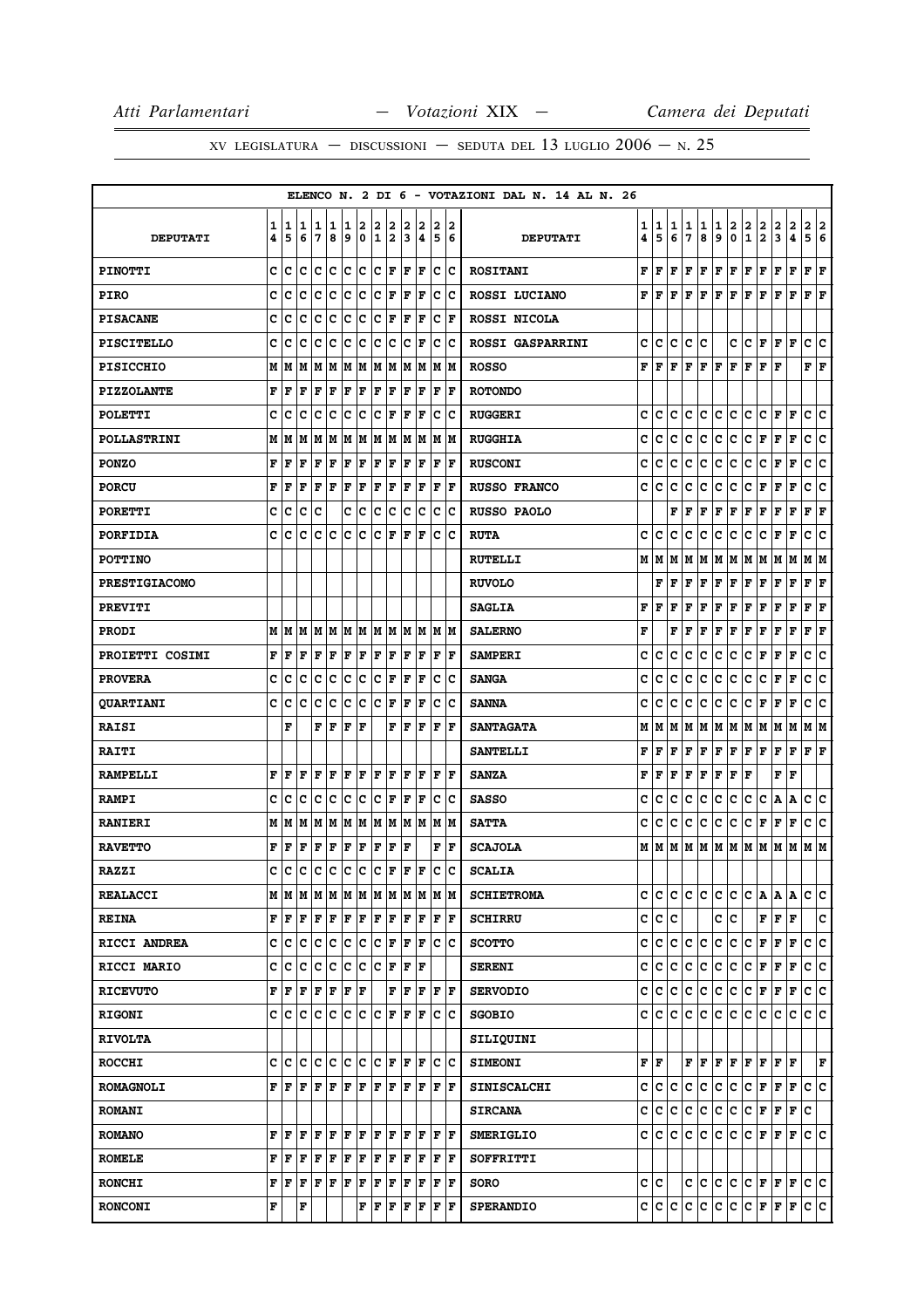|                        |   |                      |     |   |             |      |              |     |               |               |                        |             |     | ELENCO N. 2 DI 6 - VOTAZIONI DAL N. 14 AL N. 26 |                           |       |   |    |     |              |             |                      |                     |                         |              |                        |     |
|------------------------|---|----------------------|-----|---|-------------|------|--------------|-----|---------------|---------------|------------------------|-------------|-----|-------------------------------------------------|---------------------------|-------|---|----|-----|--------------|-------------|----------------------|---------------------|-------------------------|--------------|------------------------|-----|
|                        | 1 | 1                    | 1   | 1 | 1           | 1    | 2            | 2   |               |               |                        | 2           | 2   |                                                 | 1                         | 1     | 1 | 1  | 1   | 1            | 2           | $\frac{2}{1}$        | $\frac{2}{2}$       | $\mathbf{2}$            | 2            | 2                      | 2   |
| <b>DEPUTATI</b>        | 4 | 5                    | 6   | 7 | 8           | 9    | $\mathbf 0$  | 1   | $\frac{2}{2}$ | $\frac{2}{3}$ | $\frac{2}{4}$          | 5           | 6   | <b>DEPUTATI</b>                                 | 4                         | 5     | 6 | 7  | 8   | 9            | $\mathbf 0$ |                      |                     | $\overline{\mathbf{3}}$ | 4            | 5                      | 16  |
| <b>PINOTTI</b>         | C | Iс                   | c   | c | c           | c    | c            | c   | F             | F             | F                      | c           | lc  | <b>ROSITANI</b>                                 | F                         | F     | F | F  | F   | F            | F           | F                    | F                   | F                       | F            | $\mathbf{F}$           | ΙF  |
| <b>PIRO</b>            | c | c                    | c   | c | c           | c    | c            | c   | F             | F             | F                      | c           | lc. | ROSSI LUCIANO                                   | F                         | F     | F | ΙF | F   | $\mathbf F$  | F           | F                    | F                   | F                       | F            | F F                    |     |
| <b>PISACANE</b>        | c | c                    | c   | c | c           | c    | c            | c   | F             | ΙF            | F                      | с           | F   | ROSSI NICOLA                                    |                           |       |   |    |     |              |             |                      |                     |                         |              |                        |     |
| <b>PISCITELLO</b>      | c | с                    | c   | c | c           | c    | c            | c   | c             | c             | F                      | с           | lc. | <b>ROSSI GASPARRINI</b>                         | с                         | c     | C | с  | lc. |              | c           |                      | C F F F             |                         |              | c c                    |     |
| <b>PISICCHIO</b>       | M | M                    | M   | M | M           | M    | M            | M   | M             | M             | M                      | M           | lм  | <b>ROSSO</b>                                    | F                         | F     | F | F  | F   | F            | F           | F                    | F                   | F                       |              | ${\bf F} \mid {\bf F}$ |     |
| <b>PIZZOLANTE</b>      | F | F                    | F   | F | F           | F    | F            | F   | F             | F             | F                      | $\mathbf F$ | F   | <b>ROTONDO</b>                                  |                           |       |   |    |     |              |             |                      |                     |                         |              |                        |     |
| <b>POLETTI</b>         | c | с                    | c   | c | c           | c    | c            | c   | F             | F             | F                      | с           | Ιc  | <b>RUGGERI</b>                                  | C                         | c     | c | c  | c   | c            | c           | c                    | c                   | F                       | F            | c                      | ١c  |
| <b>POLLASTRINI</b>     | М | M                    | M   | M | M           | M    | М            | M   | М             | M             | M                      | М           | lм  | <b>RUGGHIA</b>                                  | C                         | c     | c | c  | c   | $\mathbf{C}$ | c           | c                    | $\mathbf{F}$        | F                       | F            | с                      | lc. |
| <b>PONZO</b>           | F | F                    | F   | F | F           | F    | F            | F   | F             | F             | F                      | F           | F   | <b>RUSCONI</b>                                  | c                         | c     | c | с  | c   | c            | c           | c                    | с                   | F                       | F            | c                      | lc. |
| <b>PORCU</b>           | F | F                    | F   | F | F           | F    | F            | F   | F             | F             | F                      | F           | F   | RUSSO FRANCO                                    | c                         | c     | c | c  | с   | c            | с           | с                    | F                   | F                       | F            | с                      | с   |
| <b>PORETTI</b>         | c | c                    | c   | c |             | c    | c            | c   | c             | c             | c                      | c           | Ιc  | <b>RUSSO PAOLO</b>                              |                           |       | F | F  | F   | F            | F           | F                    | Г                   | F                       | F            | ${\bf F}$ ${\bf F}$    |     |
| <b>PORFIDIA</b>        | C | c                    | C   | c | c           | c    | c            | c   | F             | F             | F                      | $\mathbf c$ | Ιc  | <b>RUTA</b>                                     | c                         | c     | c | c  | c   | c            | с           | c                    | c                   | F                       | $\mathbf F$  | c                      | c   |
| <b>POTTINO</b>         |   |                      |     |   |             |      |              |     |               |               |                        |             |     | <b>RUTELLI</b>                                  |                           | мIм   | M | M  | M   | M            | M           | M                    | M                   | M                       | M            | M  M                   |     |
| <b>PRESTIGIACOMO</b>   |   |                      |     |   |             |      |              |     |               |               |                        |             |     | <b>RUVOLO</b>                                   |                           | F     | F | F  | F   | $\mathbf F$  | F           | F                    | F                   | F                       | $\mathbf{F}$ | F                      | F   |
| <b>PREVITI</b>         |   |                      |     |   |             |      |              |     |               |               |                        |             |     | <b>SAGLIA</b>                                   | F                         | F     | F | F  | F   | $\mathbf F$  | F           | F                    | F                   | F                       | $\mathbf F$  | F                      | F   |
| <b>PRODI</b>           | М | M                    | M   | M | M           | M    | М            | M   | M             |               | M M                    | M M         |     | <b>SALERNO</b>                                  | F                         |       | F | F  | F   | F            | F           | F                    | F                   | F                       | F            | F                      | F   |
| <b>PROIETTI COSIMI</b> | F | F                    | F   | F | F           | F    | F            | F   | F             | F             | F                      | F           | F   | <b>SAMPERI</b>                                  | c                         | c     | c | c  | с   | c            | с           | c                    | F                   | г                       | F            | с                      | с   |
| <b>PROVERA</b>         | c | c                    | c   | c | c           | c    | c            | c   | F             | F             | F                      | $\mathbf C$ | Ιc  | <b>SANGA</b>                                    | c                         | c     | с | c  | с   | c            | c           | с                    | с                   | г                       | F            | с                      | ∣c  |
| <b>QUARTIANI</b>       | C | c                    | c   | c | c           | c    | c            | Ιc  | F             | F             | F                      | c           | lc  | <b>SANNA</b>                                    | C                         | c     | c | c  | с   | c            | с           | c                    | F                   | F                       | $\mathbf F$  | c                      | C   |
| <b>RAISI</b>           |   | F                    |     | F | ΙF          | F    | F            |     | F             | F             | F                      | F           | l F | <b>SANTAGATA</b>                                | М                         | M     | M | М  | M   | M            | M           | M                    | M                   | M                       | M            | MM                     |     |
| <b>RAITI</b>           |   |                      |     |   |             |      |              |     |               |               |                        |             |     | <b>SANTELLI</b>                                 | F                         | F     | F | F  | F   | $\mathbf F$  | F           | F                    | F                   | F                       | F            | ${\bf F}$ ${\bf F}$    |     |
| <b>RAMPELLI</b>        | F | F                    | F   | F | $\mathbf F$ | F    | F            | F   | F             | F             | F                      | F           | l F | <b>SANZA</b>                                    | F                         | F     | F | F  | F   | $\mathbf F$  | F           | F                    |                     | $\mathbf F$             | $\mathbf F$  |                        |     |
| <b>RAMPI</b>           | c | с                    | c   | c | c           | c    | с            | lc. | F             | F             | F                      | c           | Ιc  | <b>SASSO</b>                                    | c                         | с     | c | с  | c   | c            | c           | с                    | с                   | Α                       | A            | c                      | lc. |
| <b>RANIERI</b>         | М | M                    | M   | M | М           | M    | М            | M   | М             | M             | M                      | M  M        |     | <b>SATTA</b>                                    | c                         | c     | c | c  | с   | c            | с           | c                    | F                   | F                       | F            | с                      | c   |
| <b>RAVETTO</b>         | F | F                    | F   | F | F           | F    | F            | F   | F             | F             |                        | F           | F   | <b>SCAJOLA</b>                                  | м                         | M     | M | М  | М   | M            | M           | M                    | M                   | M                       | M            | MM                     |     |
| <b>RAZZI</b>           | C | C                    | C   | c | c           | c    | $\mathtt{C}$ | c   | F             | F             | F                      | C           | lc  | <b>SCALIA</b>                                   |                           |       |   |    |     |              |             |                      |                     |                         |              |                        |     |
| <b>REALACCI</b>        | М |                      | MM  | M | M           |      |              |     |               |               | M  M  M  M  M  M  M  M |             |     | <b>SCHIETROMA</b>                               | c                         | lc.   | C | C  | lC. | c            | c           | lC.                  | A                   | A A                     |              | c c                    |     |
| <b>REINA</b>           | F | F                    | F   | F | F           | F F  |              | F F |               | F             | F                      | F F         |     | <b>SCHIRRU</b>                                  |                           | c c c |   |    |     | c            | lc.         |                      | F                   | F                       | F            |                        | c   |
| RICCI ANDREA           | c | с                    | c   | c | c           | c    | с            | c   | F             | F             | F                      | c           | ١c  | <b>SCOTTO</b>                                   | c                         | c     | с | c  | c   | c            | lc.         | c                    | F                   | F                       | F            | c                      | lc. |
| RICCI MARIO            | c | с                    | c   | c | c           | c    | c            | lc. | F             | F             | F                      |             |     | <b>SERENI</b>                                   | c                         | c     | c | c  | c   | c            | c           | c.                   | $\vert$ $\mathbf F$ | F F                     |              | c c                    |     |
| <b>RICEVUTO</b>        | F | F                    | F   | F | F           | F    | $\mathbf F$  |     | F             | F             | F                      | F           | lF  | <b>SERVODIO</b>                                 | c                         | с     | c | с  | c   | c.           | c           | $ {\tt C} $ F        |                     | F F                     |              | c c                    |     |
| <b>RIGONI</b>          | c | с                    | lc. | c | c           | c    | c            | c   | F             | F             | F                      | c.          | Ιc  | <b>SGOBIO</b>                                   | c                         | c     | c | c  | c.  | c.           | c.          | ∣c∙                  | lc.                 | c                       | c            | c c                    |     |
| <b>RIVOLTA</b>         |   |                      |     |   |             |      |              |     |               |               |                        |             |     | SILIQUINI                                       |                           |       |   |    |     |              |             |                      |                     |                         |              |                        |     |
| <b>ROCCHI</b>          | c | lc.                  | lc. | c | Iс          | lc l | lc.          |     | C F F F       |               |                        | c           | ١c  | <b>SIMEONI</b>                                  | $\mathbf{F}   \mathbf{F}$ |       |   |    | FF  |              |             |                      | $\bf  F F F F F F$  |                         |              |                        | F   |
| <b>ROMAGNOLI</b>       | F | F                    | F   | F | F           | F    | F            | F F |               | F             | lF.                    | F F         |     | <b>SINISCALCHI</b>                              | c                         | c     | c | c  | c.  | c c          |             | $ {\bf C}  {\bf F} $ |                     | FF                      |              | c c                    |     |
| <b>ROMANI</b>          |   |                      |     |   |             |      |              |     |               |               |                        |             |     | <b>SIRCANA</b>                                  | c                         | с     | с | c  | lc. | c.           | lc.         | $ {\tt C}\, $ F      |                     | F F                     |              | c                      |     |
| <b>ROMANO</b>          | F | F                    | F   | F | F           | F    | F            | F F |               | F             | F                      | F           | F   | <b>SMERIGLIO</b>                                | c                         | IC.   | C | с  | c   | c            | c.          |                      | C F F F             |                         |              | c c                    |     |
| <b>ROMELE</b>          | F | F                    | F   | F | F           | F    | F            | F   | F             | F             | F                      | F           | F   | <b>SOFFRITTI</b>                                |                           |       |   |    |     |              |             |                      |                     |                         |              |                        |     |
| <b>RONCHI</b>          | F | $ {\bf F}  {\bf F} $ |     | F | F           | F F  |              | F F |               |               | F F                    | F  F        |     | SORO                                            | c c                       |       |   | c  | lc. | c c          |             |                      | C F F F             |                         |              | c c                    |     |
| <b>RONCONI</b>         | F |                      | F   |   |             |      | F            | F   | F             | F             |                        | $F$ $F$ $F$ |     | <b>SPERANDIO</b>                                |                           | c c c |   |    | c c | c c          |             |                      | C F F               |                         | F            | c c                    |     |